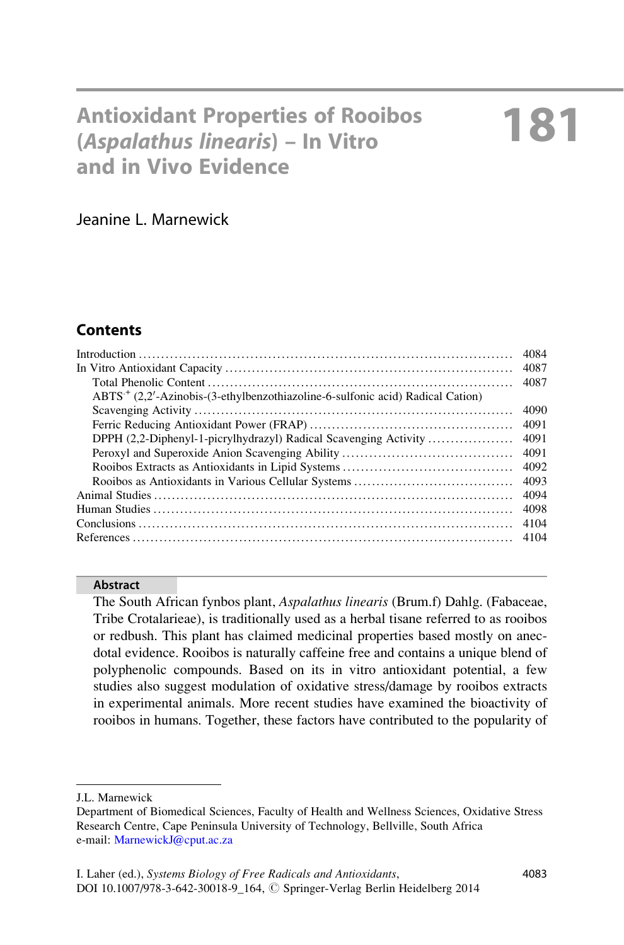# Antioxidant Properties of Rooibos (Aspalathus linearis) – In Vitro and in Vivo Evidence

Jeanine L. Marnewick

# **Contents**

|                                                                                           | 4084 |
|-------------------------------------------------------------------------------------------|------|
|                                                                                           | 4087 |
|                                                                                           | 4087 |
| ABTS <sup>+</sup> (2.2'-Azinobis-(3-ethylbenzothiazoline-6-sulfonic acid) Radical Cation) |      |
|                                                                                           | 4090 |
|                                                                                           | 4091 |
| DPPH (2,2-Diphenyl-1-picrylhydrazyl) Radical Scavenging Activity                          | 4091 |
|                                                                                           | 4091 |
|                                                                                           | 4092 |
|                                                                                           | 4093 |
|                                                                                           | 4094 |
|                                                                                           | 4098 |
|                                                                                           | 4104 |
|                                                                                           | 4104 |
|                                                                                           |      |

#### Abstract

The South African fynbos plant, Aspalathus linearis (Brum.f) Dahlg. (Fabaceae, Tribe Crotalarieae), is traditionally used as a herbal tisane referred to as rooibos or redbush. This plant has claimed medicinal properties based mostly on anecdotal evidence. Rooibos is naturally caffeine free and contains a unique blend of polyphenolic compounds. Based on its in vitro antioxidant potential, a few studies also suggest modulation of oxidative stress/damage by rooibos extracts in experimental animals. More recent studies have examined the bioactivity of rooibos in humans. Together, these factors have contributed to the popularity of

J.L. Marnewick

Department of Biomedical Sciences, Faculty of Health and Wellness Sciences, Oxidative Stress Research Centre, Cape Peninsula University of Technology, Bellville, South Africa e-mail: [MarnewickJ@cput.ac.za](mailto:MarnewickJ@cput.ac.za)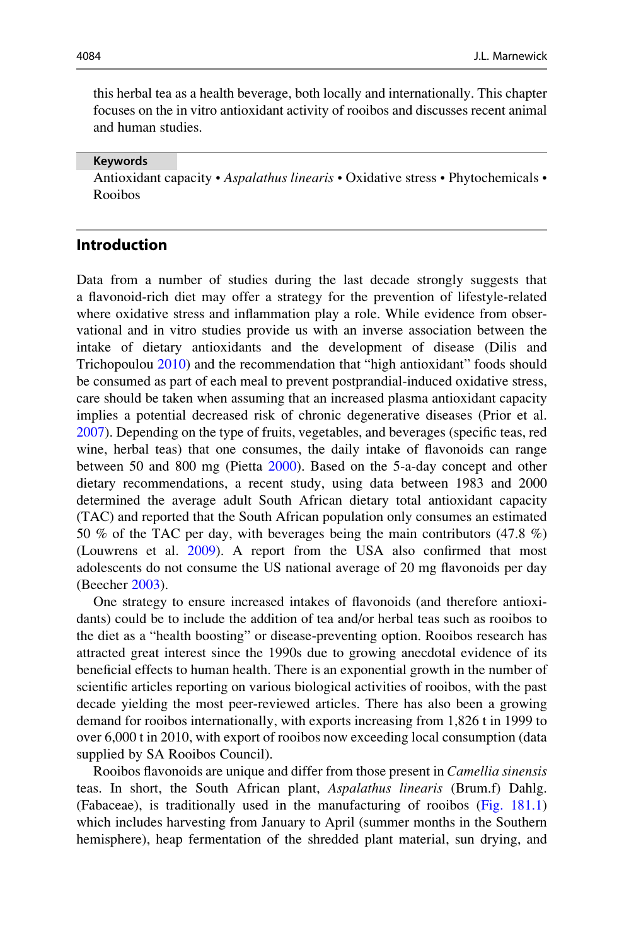this herbal tea as a health beverage, both locally and internationally. This chapter focuses on the in vitro antioxidant activity of rooibos and discusses recent animal and human studies.

#### Keywords

Antioxidant capacity • Aspalathus linearis • Oxidative stress • Phytochemicals • Rooibos

### Introduction

Data from a number of studies during the last decade strongly suggests that a flavonoid-rich diet may offer a strategy for the prevention of lifestyle-related where oxidative stress and inflammation play a role. While evidence from observational and in vitro studies provide us with an inverse association between the intake of dietary antioxidants and the development of disease (Dilis and Trichopoulou [2010\)](#page-22-0) and the recommendation that "high antioxidant" foods should be consumed as part of each meal to prevent postprandial-induced oxidative stress, care should be taken when assuming that an increased plasma antioxidant capacity implies a potential decreased risk of chronic degenerative diseases (Prior et al. [2007\)](#page-24-0). Depending on the type of fruits, vegetables, and beverages (specific teas, red wine, herbal teas) that one consumes, the daily intake of flavonoids can range between 50 and 800 mg (Pietta [2000\)](#page-24-0). Based on the 5-a-day concept and other dietary recommendations, a recent study, using data between 1983 and 2000 determined the average adult South African dietary total antioxidant capacity (TAC) and reported that the South African population only consumes an estimated 50 % of the TAC per day, with beverages being the main contributors (47.8 %) (Louwrens et al. [2009](#page-23-0)). A report from the USA also confirmed that most adolescents do not consume the US national average of 20 mg flavonoids per day (Beecher [2003\)](#page-21-0).

One strategy to ensure increased intakes of flavonoids (and therefore antioxidants) could be to include the addition of tea and/or herbal teas such as rooibos to the diet as a "health boosting" or disease-preventing option. Rooibos research has attracted great interest since the 1990s due to growing anecdotal evidence of its beneficial effects to human health. There is an exponential growth in the number of scientific articles reporting on various biological activities of rooibos, with the past decade yielding the most peer-reviewed articles. There has also been a growing demand for rooibos internationally, with exports increasing from 1,826 t in 1999 to over 6,000 t in 2010, with export of rooibos now exceeding local consumption (data supplied by SA Rooibos Council).

Rooibos flavonoids are unique and differ from those present in Camellia sinensis teas. In short, the South African plant, Aspalathus linearis (Brum.f) Dahlg. (Fabaceae), is traditionally used in the manufacturing of rooibos ([Fig. 181.1](#page-2-0)) which includes harvesting from January to April (summer months in the Southern hemisphere), heap fermentation of the shredded plant material, sun drying, and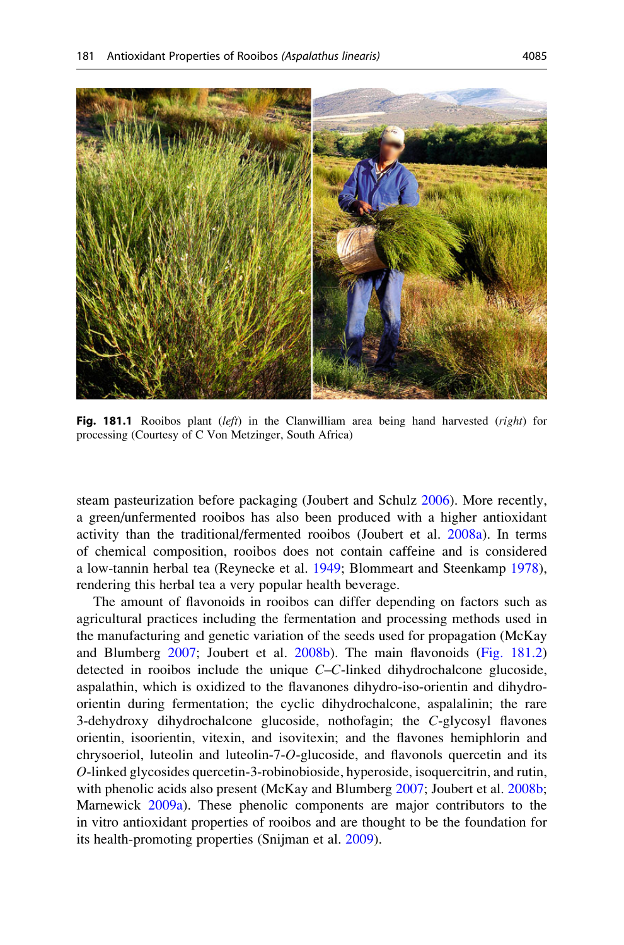<span id="page-2-0"></span>

Fig. 181.1 Rooibos plant  $(left)$  in the Clanwilliam area being hand harvested (*right*) for processing (Courtesy of C Von Metzinger, South Africa)

steam pasteurization before packaging (Joubert and Schulz [2006\)](#page-22-0). More recently, a green/unfermented rooibos has also been produced with a higher antioxidant activity than the traditional/fermented rooibos (Joubert et al. [2008a\)](#page-22-0). In terms of chemical composition, rooibos does not contain caffeine and is considered a low-tannin herbal tea (Reynecke et al. [1949](#page-24-0); Blommeart and Steenkamp [1978\)](#page-21-0), rendering this herbal tea a very popular health beverage.

The amount of flavonoids in rooibos can differ depending on factors such as agricultural practices including the fermentation and processing methods used in the manufacturing and genetic variation of the seeds used for propagation (McKay and Blumberg [2007](#page-23-0); Joubert et al. [2008b](#page-22-0)). The main flavonoids ([Fig. 181.2](#page-3-0)) detected in rooibos include the unique C–C-linked dihydrochalcone glucoside, aspalathin, which is oxidized to the flavanones dihydro-iso-orientin and dihydroorientin during fermentation; the cyclic dihydrochalcone, aspalalinin; the rare 3-dehydroxy dihydrochalcone glucoside, nothofagin; the C-glycosyl flavones orientin, isoorientin, vitexin, and isovitexin; and the flavones hemiphlorin and chrysoeriol, luteolin and luteolin-7-O-glucoside, and flavonols quercetin and its O-linked glycosides quercetin-3-robinobioside, hyperoside, isoquercitrin, and rutin, with phenolic acids also present (McKay and Blumberg [2007;](#page-23-0) Joubert et al. [2008b;](#page-22-0) Marnewick [2009a\)](#page-23-0). These phenolic components are major contributors to the in vitro antioxidant properties of rooibos and are thought to be the foundation for its health-promoting properties (Snijman et al. [2009](#page-24-0)).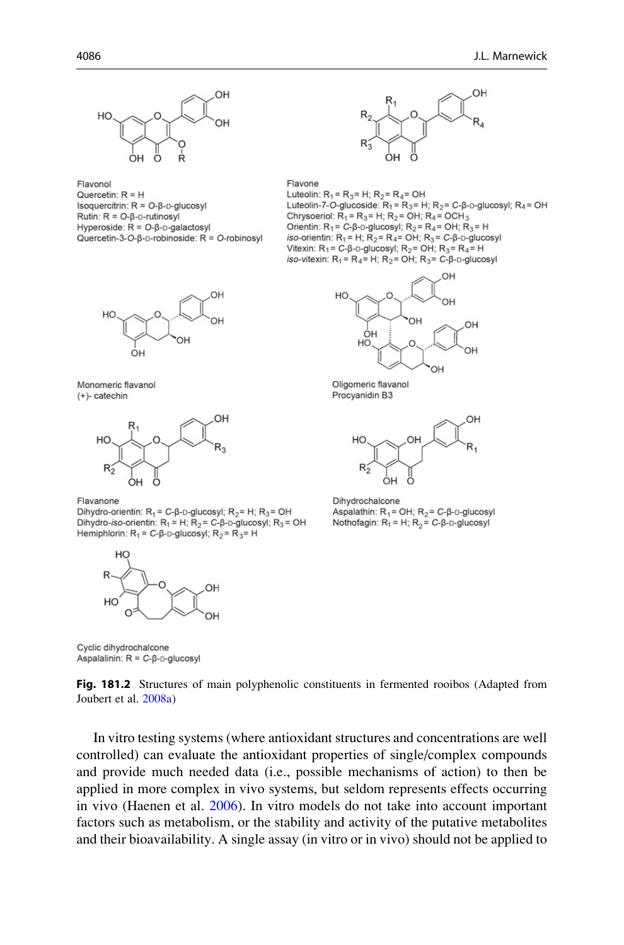<span id="page-3-0"></span>

Flavonol Quercetin:  $R = H$ Isoquercitrin:  $R = O-B-D-$ glucosyl Rutin:  $R = O - \beta - \text{rutinosyl}$ Hyperoside:  $R = O-B-D-aalactosvl$ Quercetin-3-O- $\beta$ -D-robinoside: R = O-robinosyl



Monomeric flavanol (+)- catechin



Flavanone

Dihydro-orientin:  $R_1 = C$ - $\beta$ -D-glucosyl;  $R_2 = H$ ;  $R_3 = OH$ Dihydro-iso-orientin:  $R_1 = H$ ;  $R_2 = C$ - $\beta$ - $D$ -glucosyl;  $R_3 = OH$ Hemiphlorin:  $R_1 = C$ - $\beta$ - $D$ -glucosyl;  $R_2 = R_3 = H$ 



Nothofagin:  $R_1 = H$ ;  $R_2 = C - \beta - D$ -glucosyl

Cyclic dihydrochalcone Aspalalinin:  $R = C - \beta - D - g|u \cos y|$ 



In vitro testing systems (where antioxidant structures and concentrations are well controlled) can evaluate the antioxidant properties of single/complex compounds and provide much needed data (i.e., possible mechanisms of action) to then be applied in more complex in vivo systems, but seldom represents effects occurring in vivo (Haenen et al. [2006](#page-22-0)). In vitro models do not take into account important factors such as metabolism, or the stability and activity of the putative metabolites and their bioavailability. A single assay (in vitro or in vivo) should not be applied to



Flavone

Luteolin:  $R_1 = R_3 = H$ ;  $R_2 = R_4 = OH$ Luteolin-7-O-glucoside:  $R_1 = R_3 = H$ ;  $R_2 = C$ - $\beta$ -D-glucosyl;  $R_4 = OH$ Chrysoeriol:  $R_1 = R_3 = H$ ;  $R_2 = OH$ ;  $R_4 = OCH_3$ Orientin:  $R_1 = C - B - D -$ glucosyl:  $R_2 = R_4 = OH$ :  $R_3 = H$ iso-orientin:  $R_1 = H$ ;  $R_2 = R_4 = OH$ ;  $R_3 = C_1B_2 - g$  [ucosyl] Vitexin:  $R_1 = C_1B_0 - g|ucosyl$ ;  $R_2 = OH$ ;  $R_3 = R_4 = H$ iso-vitexin:  $R_1 = R_4 = H$ ;  $R_2 = OH$ ;  $R_3 = C-\beta-D-g|ucosyl$ 



Oligomeric flavanol Procyanidin B3



Dihydrochalcone Aspalathin:  $R_1 = OH$ ;  $R_2 = C$ - $\beta$ - $D$ -glucosyl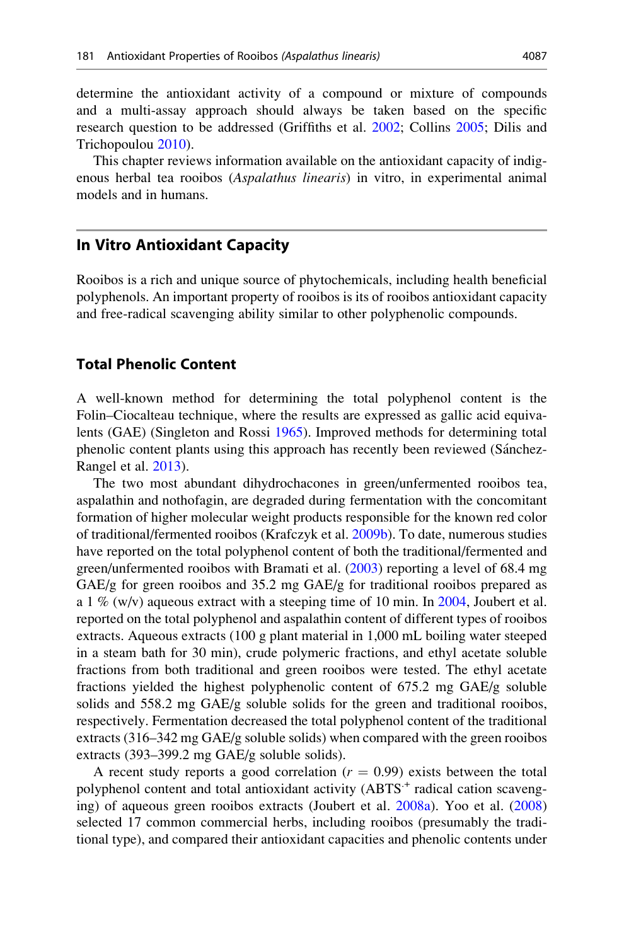determine the antioxidant activity of a compound or mixture of compounds and a multi-assay approach should always be taken based on the specific research question to be addressed (Griffiths et al. [2002](#page-22-0); Collins [2005](#page-22-0); Dilis and Trichopoulou [2010](#page-22-0)).

This chapter reviews information available on the antioxidant capacity of indigenous herbal tea rooibos (Aspalathus linearis) in vitro, in experimental animal models and in humans.

# In Vitro Antioxidant Capacity

Rooibos is a rich and unique source of phytochemicals, including health beneficial polyphenols. An important property of rooibos is its of rooibos antioxidant capacity and free-radical scavenging ability similar to other polyphenolic compounds.

# Total Phenolic Content

A well-known method for determining the total polyphenol content is the Folin–Ciocalteau technique, where the results are expressed as gallic acid equivalents (GAE) (Singleton and Rossi [1965\)](#page-24-0). Improved methods for determining total phenolic content plants using this approach has recently been reviewed (Sánchez-Rangel et al. [2013\)](#page-24-0).

The two most abundant dihydrochacones in green/unfermented rooibos tea, aspalathin and nothofagin, are degraded during fermentation with the concomitant formation of higher molecular weight products responsible for the known red color of traditional/fermented rooibos (Krafczyk et al. [2009b](#page-23-0)). To date, numerous studies have reported on the total polyphenol content of both the traditional/fermented and green/unfermented rooibos with Bramati et al. [\(2003](#page-21-0)) reporting a level of 68.4 mg GAE/g for green rooibos and 35.2 mg GAE/g for traditional rooibos prepared as a 1 % (w/v) aqueous extract with a steeping time of 10 min. In [2004,](#page-22-0) Joubert et al. reported on the total polyphenol and aspalathin content of different types of rooibos extracts. Aqueous extracts (100 g plant material in 1,000 mL boiling water steeped in a steam bath for 30 min), crude polymeric fractions, and ethyl acetate soluble fractions from both traditional and green rooibos were tested. The ethyl acetate fractions yielded the highest polyphenolic content of 675.2 mg GAE/g soluble solids and 558.2 mg GAE/g soluble solids for the green and traditional rooibos, respectively. Fermentation decreased the total polyphenol content of the traditional extracts (316–342 mg GAE/g soluble solids) when compared with the green rooibos extracts (393–399.2 mg GAE/g soluble solids).

A recent study reports a good correlation  $(r = 0.99)$  exists between the total polyphenol content and total antioxidant activity (ABTS<sup>+</sup> radical cation scavenging) of aqueous green rooibos extracts (Joubert et al. [2008a](#page-22-0)). Yoo et al. [\(2008](#page-25-0)) selected 17 common commercial herbs, including rooibos (presumably the traditional type), and compared their antioxidant capacities and phenolic contents under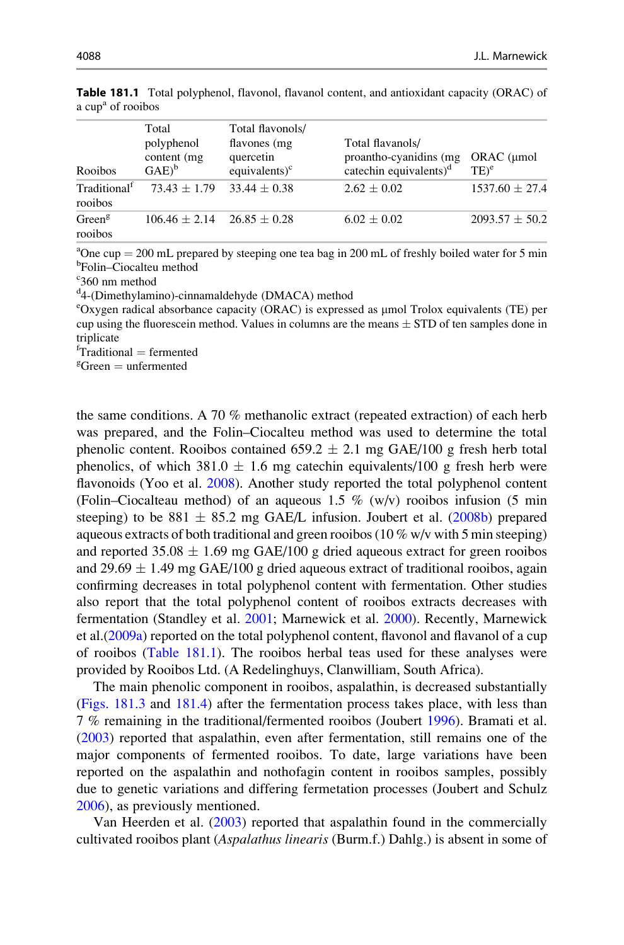| Rooibos                             | Total<br>polyphenol<br>content (mg)<br>$GAE)^b$ | Total flavonols/<br>flavones (mg<br>quercetin<br>equivalents $)^c$ | Total flavanols/<br>proantho-cyaniding (mg)<br>catechin equivalents) $d$ | ORAC (µmol<br>$TE)^e$ |
|-------------------------------------|-------------------------------------------------|--------------------------------------------------------------------|--------------------------------------------------------------------------|-----------------------|
| Traditional <sup>t</sup><br>rooibos | $73.43 + 1.79$                                  | $33.44 + 0.38$                                                     | $2.62 + 0.02$                                                            | $1537.60 \pm 27.4$    |
| Green <sup>g</sup><br>rooibos       | $106.46 + 2.14$                                 | $26.85 + 0.28$                                                     | $6.02 \pm 0.02$                                                          | $2093.57 \pm 50.2$    |

<span id="page-5-0"></span>Table 181.1 Total polyphenol, flavonol, flavanol content, and antioxidant capacity (ORAC) of a cup<sup>a</sup> of rooibos

<sup>a</sup>One cup = 200 mL prepared by steeping one tea bag in 200 mL of freshly boiled water for 5 min<br><sup>b</sup>Eolin–Ciocalteu method Folin–Ciocalteu method

c 360 nm method

<sup>d</sup>4-(Dimethylamino)-cinnamaldehyde (DMACA) method

eOxygen radical absorbance capacity (ORAC) is expressed as µmol Trolox equivalents (TE) per cup using the fluorescein method. Values in columns are the means  $\pm$  STD of ten samples done in triplicate

 ${}^{\text{f}}$ Traditional = fermented<br>  ${}^{\text{g}}$ Green = unfermented

 ${}^g$ Green = unfermented

the same conditions. A 70 % methanolic extract (repeated extraction) of each herb was prepared, and the Folin–Ciocalteu method was used to determine the total phenolic content. Rooibos contained  $659.2 \pm 2.1$  mg GAE/100 g fresh herb total phenolics, of which  $381.0 \pm 1.6$  mg catechin equivalents/100 g fresh herb were flavonoids (Yoo et al. [2008\)](#page-25-0). Another study reported the total polyphenol content (Folin–Ciocalteau method) of an aqueous 1.5  $\%$  (w/v) rooibos infusion (5 min steeping) to be  $881 \pm 85.2$  mg GAE/L infusion. Joubert et al. [\(2008b\)](#page-22-0) prepared aqueous extracts of both traditional and green rooibos (10  $\%$  w/v with 5 min steeping) and reported  $35.08 \pm 1.69$  mg GAE/100 g dried aqueous extract for green rooibos and  $29.69 \pm 1.49$  mg GAE/100 g dried aqueous extract of traditional rooibos, again confirming decreases in total polyphenol content with fermentation. Other studies also report that the total polyphenol content of rooibos extracts decreases with fermentation (Standley et al. [2001](#page-24-0); Marnewick et al. [2000](#page-23-0)). Recently, Marnewick et al.[\(2009a](#page-23-0)) reported on the total polyphenol content, flavonol and flavanol of a cup of rooibos (Table 181.1). The rooibos herbal teas used for these analyses were provided by Rooibos Ltd. (A Redelinghuys, Clanwilliam, South Africa).

The main phenolic component in rooibos, aspalathin, is decreased substantially [\(Figs. 181.3](#page-6-0) and [181.4](#page-6-0)) after the fermentation process takes place, with less than 7 % remaining in the traditional/fermented rooibos (Joubert [1996\)](#page-22-0). Bramati et al. [\(2003](#page-21-0)) reported that aspalathin, even after fermentation, still remains one of the major components of fermented rooibos. To date, large variations have been reported on the aspalathin and nothofagin content in rooibos samples, possibly due to genetic variations and differing fermetation processes (Joubert and Schulz [2006\)](#page-22-0), as previously mentioned.

Van Heerden et al. [\(2003](#page-25-0)) reported that aspalathin found in the commercially cultivated rooibos plant (Aspalathus linearis (Burm.f.) Dahlg.) is absent in some of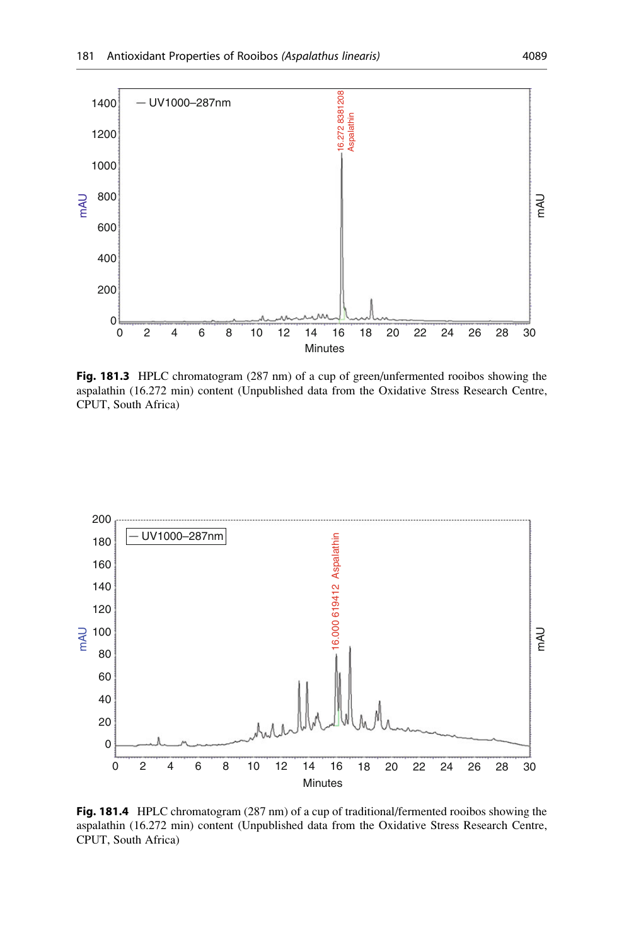<span id="page-6-0"></span>

Fig. 181.3 HPLC chromatogram (287 nm) of a cup of green/unfermented rooibos showing the aspalathin (16.272 min) content (Unpublished data from the Oxidative Stress Research Centre, CPUT, South Africa)



Fig. 181.4 HPLC chromatogram (287 nm) of a cup of traditional/fermented rooibos showing the aspalathin (16.272 min) content (Unpublished data from the Oxidative Stress Research Centre, CPUT, South Africa)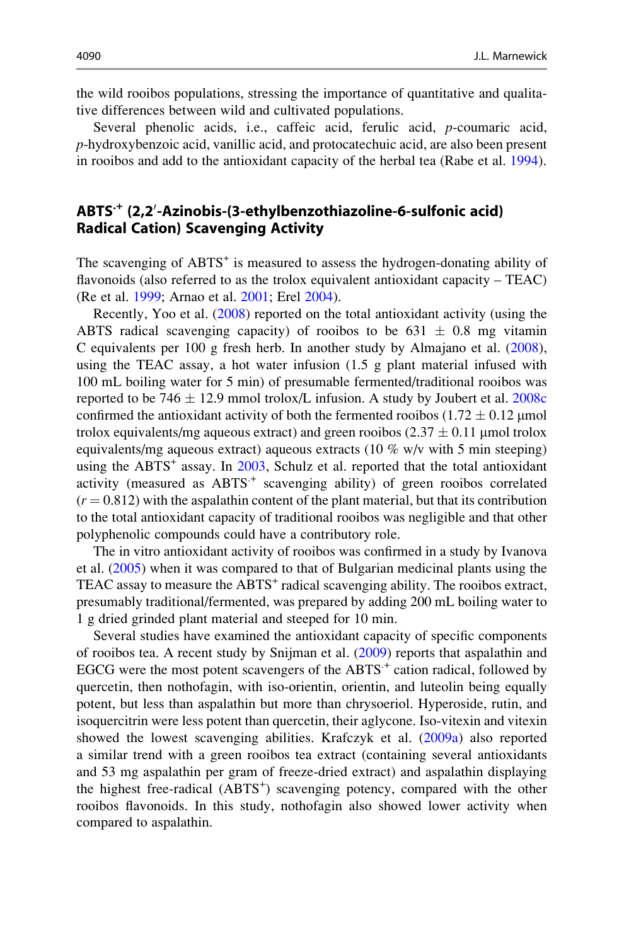the wild rooibos populations, stressing the importance of quantitative and qualitative differences between wild and cultivated populations.

Several phenolic acids, i.e., caffeic acid, ferulic acid, *p*-coumaric acid, p-hydroxybenzoic acid, vanillic acid, and protocatechuic acid, are also been present in rooibos and add to the antioxidant capacity of the herbal tea (Rabe et al. [1994](#page-24-0)).

# ABTS<sup>.+</sup> (2,2<sup>/</sup>-Azinobis-(3-ethylbenzothiazoline-6-sulfonic acid) Radical Cation) Scavenging Activity

The scavenging of  $ABTS^+$  is measured to assess the hydrogen-donating ability of flavonoids (also referred to as the trolox equivalent antioxidant capacity – TEAC) (Re et al. [1999;](#page-24-0) Arnao et al. [2001;](#page-21-0) Erel [2004\)](#page-22-0).

Recently, Yoo et al. [\(2008](#page-25-0)) reported on the total antioxidant activity (using the ABTS radical scavenging capacity) of rooibos to be  $631 \pm 0.8$  mg vitamin C equivalents per 100 g fresh herb. In another study by Almajano et al. ([2008\)](#page-21-0), using the TEAC assay, a hot water infusion (1.5 g plant material infused with 100 mL boiling water for 5 min) of presumable fermented/traditional rooibos was reported to be 746  $\pm$  12.9 mmol trolox/L infusion. A study by Joubert et al. [2008c](#page-23-0) confirmed the antioxidant activity of both the fermented rooibos ( $1.72 \pm 0.12$  µmol trolox equivalents/mg aqueous extract) and green rooibos  $(2.37 \pm 0.11 \,\mu$ mol trolox equivalents/mg aqueous extract) aqueous extracts (10 % w/v with 5 min steeping) using the  $ABTS^+$  assay. In  $2003$ , Schulz et al. reported that the total antioxidant activity (measured as  $ABTS^+$  scavenging ability) of green rooibos correlated  $(r = 0.812)$  with the aspalathin content of the plant material, but that its contribution to the total antioxidant capacity of traditional rooibos was negligible and that other polyphenolic compounds could have a contributory role.

The in vitro antioxidant activity of rooibos was confirmed in a study by Ivanova et al. ([2005\)](#page-22-0) when it was compared to that of Bulgarian medicinal plants using the TEAC assay to measure the ABTS<sup>+</sup> radical scavenging ability. The rooibos extract, presumably traditional/fermented, was prepared by adding 200 mL boiling water to 1 g dried grinded plant material and steeped for 10 min.

Several studies have examined the antioxidant capacity of specific components of rooibos tea. A recent study by Snijman et al. ([2009\)](#page-24-0) reports that aspalathin and EGCG were the most potent scavengers of the  $ABTS^+$  cation radical, followed by quercetin, then nothofagin, with iso-orientin, orientin, and luteolin being equally potent, but less than aspalathin but more than chrysoeriol. Hyperoside, rutin, and isoquercitrin were less potent than quercetin, their aglycone. Iso-vitexin and vitexin showed the lowest scavenging abilities. Krafczyk et al. ([2009a\)](#page-23-0) also reported a similar trend with a green rooibos tea extract (containing several antioxidants and 53 mg aspalathin per gram of freeze-dried extract) and aspalathin displaying the highest free-radical (ABTS<sup>+</sup>) scavenging potency, compared with the other rooibos flavonoids. In this study, nothofagin also showed lower activity when compared to aspalathin.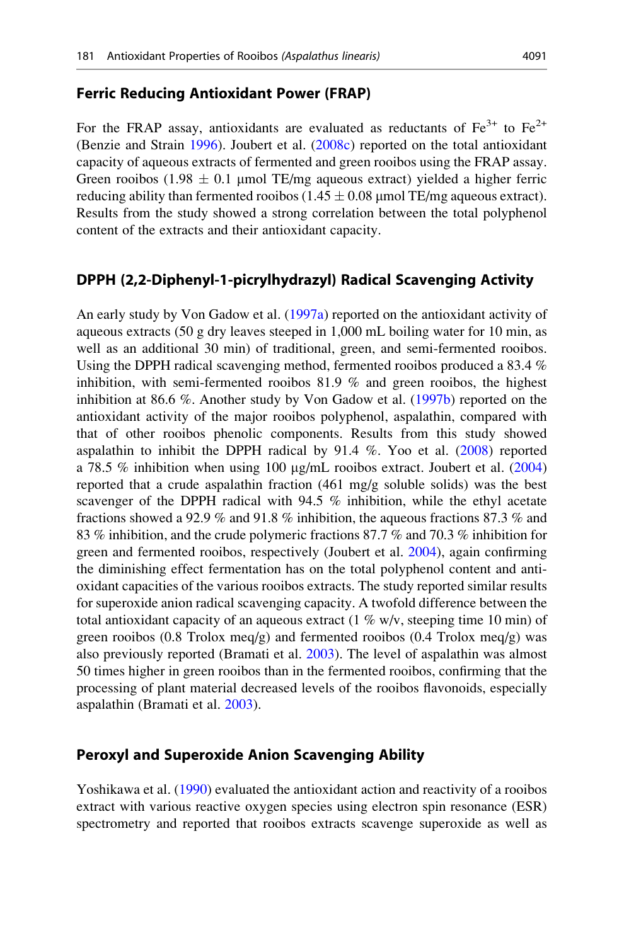#### Ferric Reducing Antioxidant Power (FRAP)

For the FRAP assay, antioxidants are evaluated as reductants of  $Fe^{3+}$  to  $Fe^{2+}$ (Benzie and Strain [1996](#page-21-0)). Joubert et al. [\(2008c\)](#page-23-0) reported on the total antioxidant capacity of aqueous extracts of fermented and green rooibos using the FRAP assay. Green rooibos (1.98  $\pm$  0.1 µmol TE/mg aqueous extract) yielded a higher ferric reducing ability than fermented rooibos  $(1.45 \pm 0.08 \,\text{\mu mol TE/mg}$  aqueous extract). Results from the study showed a strong correlation between the total polyphenol content of the extracts and their antioxidant capacity.

#### DPPH (2,2-Diphenyl-1-picrylhydrazyl) Radical Scavenging Activity

An early study by Von Gadow et al. ([1997a](#page-25-0)) reported on the antioxidant activity of aqueous extracts (50 g dry leaves steeped in 1,000 mL boiling water for 10 min, as well as an additional 30 min) of traditional, green, and semi-fermented rooibos. Using the DPPH radical scavenging method, fermented rooibos produced a 83.4 % inhibition, with semi-fermented rooibos 81.9 % and green rooibos, the highest inhibition at 86.6 %. Another study by Von Gadow et al. [\(1997b](#page-25-0)) reported on the antioxidant activity of the major rooibos polyphenol, aspalathin, compared with that of other rooibos phenolic components. Results from this study showed aspalathin to inhibit the DPPH radical by  $91.4\%$ . Yoo et al. [\(2008](#page-25-0)) reported a 78.5 % inhibition when using 100  $\mu$ g/mL rooibos extract. Joubert et al. [\(2004](#page-22-0)) reported that a crude aspalathin fraction (461 mg/g soluble solids) was the best scavenger of the DPPH radical with 94.5 % inhibition, while the ethyl acetate fractions showed a 92.9 % and 91.8 % inhibition, the aqueous fractions 87.3 % and 83 % inhibition, and the crude polymeric fractions 87.7 % and 70.3 % inhibition for green and fermented rooibos, respectively (Joubert et al. [2004\)](#page-22-0), again confirming the diminishing effect fermentation has on the total polyphenol content and antioxidant capacities of the various rooibos extracts. The study reported similar results for superoxide anion radical scavenging capacity. A twofold difference between the total antioxidant capacity of an aqueous extract  $(1\%$  w/v, steeping time 10 min) of green rooibos (0.8 Trolox meq/g) and fermented rooibos (0.4 Trolox meq/g) was also previously reported (Bramati et al. [2003\)](#page-21-0). The level of aspalathin was almost 50 times higher in green rooibos than in the fermented rooibos, confirming that the processing of plant material decreased levels of the rooibos flavonoids, especially aspalathin (Bramati et al. [2003](#page-21-0)).

#### Peroxyl and Superoxide Anion Scavenging Ability

Yoshikawa et al. [\(1990\)](#page-25-0) evaluated the antioxidant action and reactivity of a rooibos extract with various reactive oxygen species using electron spin resonance (ESR) spectrometry and reported that rooibos extracts scavenge superoxide as well as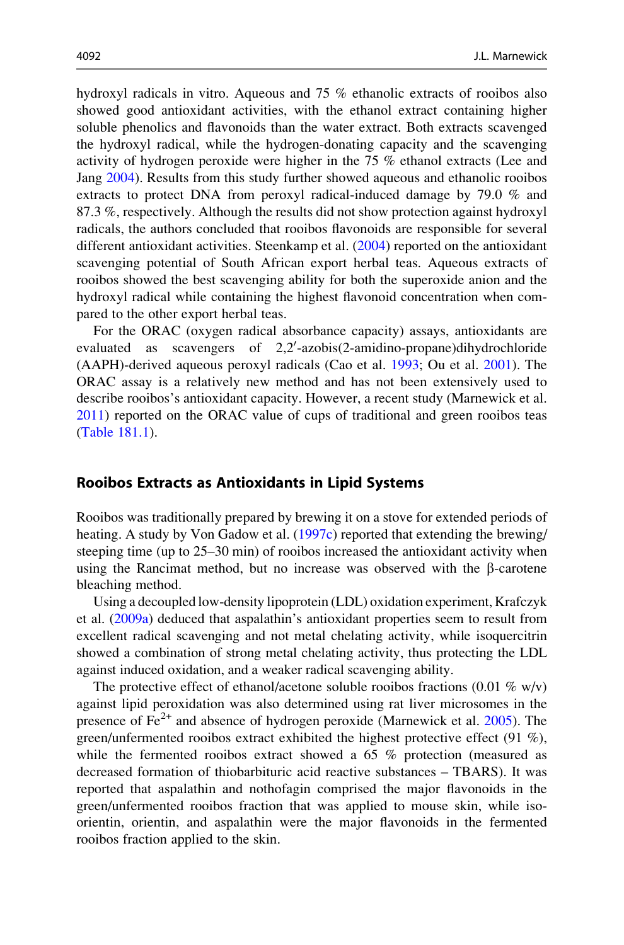hydroxyl radicals in vitro. Aqueous and 75 % ethanolic extracts of rooibos also showed good antioxidant activities, with the ethanol extract containing higher soluble phenolics and flavonoids than the water extract. Both extracts scavenged the hydroxyl radical, while the hydrogen-donating capacity and the scavenging activity of hydrogen peroxide were higher in the 75 % ethanol extracts (Lee and Jang [2004\)](#page-23-0). Results from this study further showed aqueous and ethanolic rooibos extracts to protect DNA from peroxyl radical-induced damage by 79.0 % and 87.3 %, respectively. Although the results did not show protection against hydroxyl radicals, the authors concluded that rooibos flavonoids are responsible for several different antioxidant activities. Steenkamp et al. ([2004\)](#page-24-0) reported on the antioxidant scavenging potential of South African export herbal teas. Aqueous extracts of rooibos showed the best scavenging ability for both the superoxide anion and the hydroxyl radical while containing the highest flavonoid concentration when compared to the other export herbal teas.

For the ORAC (oxygen radical absorbance capacity) assays, antioxidants are evaluated as scavengers of 2,2'-azobis(2-amidino-propane)dihydrochloride (AAPH)-derived aqueous peroxyl radicals (Cao et al. [1993](#page-21-0); Ou et al. [2001\)](#page-23-0). The ORAC assay is a relatively new method and has not been extensively used to describe rooibos's antioxidant capacity. However, a recent study (Marnewick et al. [2011\)](#page-23-0) reported on the ORAC value of cups of traditional and green rooibos teas [\(Table 181.1](#page-5-0)).

#### Rooibos Extracts as Antioxidants in Lipid Systems

Rooibos was traditionally prepared by brewing it on a stove for extended periods of heating. A study by Von Gadow et al. [\(1997c](#page-25-0)) reported that extending the brewing/ steeping time (up to 25–30 min) of rooibos increased the antioxidant activity when using the Rancimat method, but no increase was observed with the  $\beta$ -carotene bleaching method.

Using a decoupled low-density lipoprotein (LDL) oxidation experiment, Krafczyk et al. [\(2009a\)](#page-23-0) deduced that aspalathin's antioxidant properties seem to result from excellent radical scavenging and not metal chelating activity, while isoquercitrin showed a combination of strong metal chelating activity, thus protecting the LDL against induced oxidation, and a weaker radical scavenging ability.

The protective effect of ethanol/acetone soluble rooibos fractions  $(0.01 \% \text{ w/v})$ against lipid peroxidation was also determined using rat liver microsomes in the presence of  $Fe<sup>2+</sup>$  and absence of hydrogen peroxide (Marnewick et al. [2005](#page-23-0)). The green/unfermented rooibos extract exhibited the highest protective effect (91 %), while the fermented rooibos extract showed a 65 % protection (measured as decreased formation of thiobarbituric acid reactive substances – TBARS). It was reported that aspalathin and nothofagin comprised the major flavonoids in the green/unfermented rooibos fraction that was applied to mouse skin, while isoorientin, orientin, and aspalathin were the major flavonoids in the fermented rooibos fraction applied to the skin.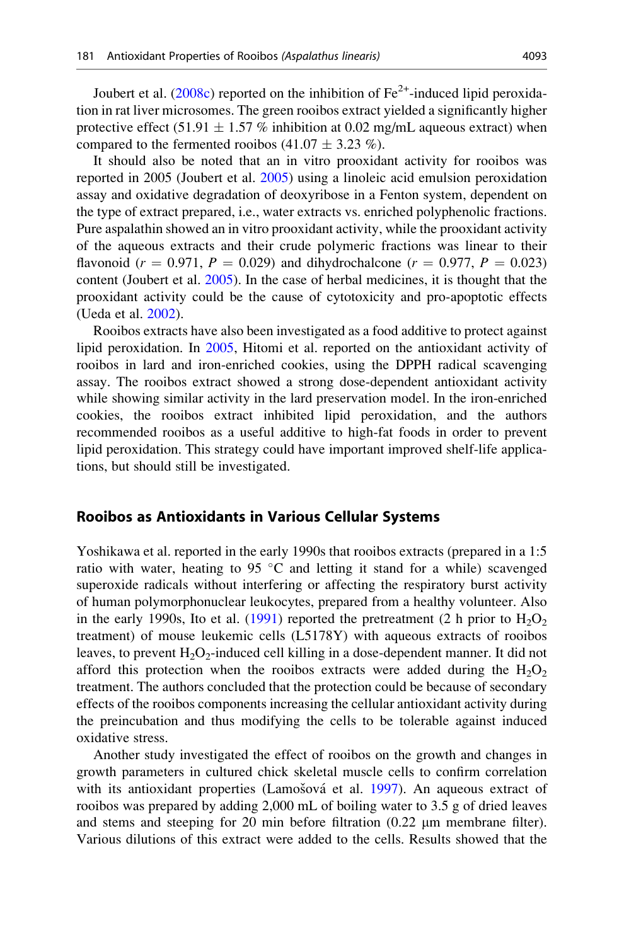Joubert et al. ([2008c](#page-23-0)) reported on the inhibition of  $Fe^{2+}$ -induced lipid peroxidation in rat liver microsomes. The green rooibos extract yielded a significantly higher protective effect  $(51.91 \pm 1.57 \%)$  inhibition at 0.02 mg/mL aqueous extract) when compared to the fermented rooibos  $(41.07 \pm 3.23 \%)$ .

It should also be noted that an in vitro prooxidant activity for rooibos was reported in 2005 (Joubert et al. [2005](#page-22-0)) using a linoleic acid emulsion peroxidation assay and oxidative degradation of deoxyribose in a Fenton system, dependent on the type of extract prepared, i.e., water extracts vs. enriched polyphenolic fractions. Pure aspalathin showed an in vitro prooxidant activity, while the prooxidant activity of the aqueous extracts and their crude polymeric fractions was linear to their flavonoid ( $r = 0.971$ ,  $P = 0.029$ ) and dihydrochalcone ( $r = 0.977$ ,  $P = 0.023$ ) content (Joubert et al. [2005](#page-22-0)). In the case of herbal medicines, it is thought that the prooxidant activity could be the cause of cytotoxicity and pro-apoptotic effects (Ueda et al. [2002\)](#page-25-0).

Rooibos extracts have also been investigated as a food additive to protect against lipid peroxidation. In [2005,](#page-22-0) Hitomi et al. reported on the antioxidant activity of rooibos in lard and iron-enriched cookies, using the DPPH radical scavenging assay. The rooibos extract showed a strong dose-dependent antioxidant activity while showing similar activity in the lard preservation model. In the iron-enriched cookies, the rooibos extract inhibited lipid peroxidation, and the authors recommended rooibos as a useful additive to high-fat foods in order to prevent lipid peroxidation. This strategy could have important improved shelf-life applications, but should still be investigated.

#### Rooibos as Antioxidants in Various Cellular Systems

Yoshikawa et al. reported in the early 1990s that rooibos extracts (prepared in a 1:5 ratio with water, heating to 95  $\degree$ C and letting it stand for a while) scavenged superoxide radicals without interfering or affecting the respiratory burst activity of human polymorphonuclear leukocytes, prepared from a healthy volunteer. Also in the early 1990s, Ito et al. ([1991\)](#page-22-0) reported the pretreatment (2 h prior to  $H_2O_2$ treatment) of mouse leukemic cells (L5178Y) with aqueous extracts of rooibos leaves, to prevent  $H_2O_2$ -induced cell killing in a dose-dependent manner. It did not afford this protection when the rooibos extracts were added during the  $H_2O_2$ treatment. The authors concluded that the protection could be because of secondary effects of the rooibos components increasing the cellular antioxidant activity during the preincubation and thus modifying the cells to be tolerable against induced oxidative stress.

Another study investigated the effect of rooibos on the growth and changes in growth parameters in cultured chick skeletal muscle cells to confirm correlation with its antioxidant properties (Lamošová et al. [1997\)](#page-23-0). An aqueous extract of rooibos was prepared by adding 2,000 mL of boiling water to 3.5 g of dried leaves and stems and steeping for 20 min before filtration  $(0.22 \mu m)$  membrane filter). Various dilutions of this extract were added to the cells. Results showed that the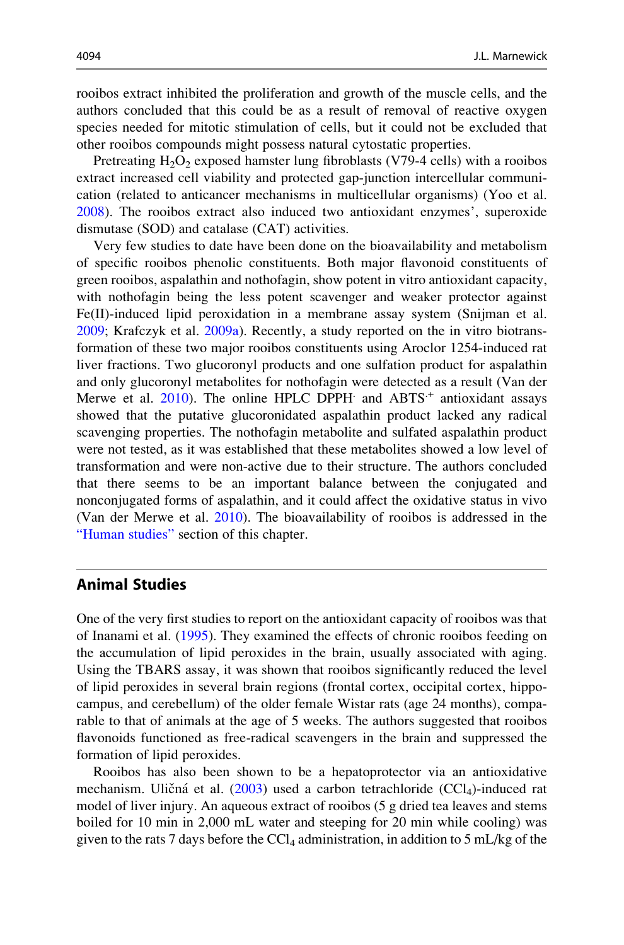rooibos extract inhibited the proliferation and growth of the muscle cells, and the authors concluded that this could be as a result of removal of reactive oxygen species needed for mitotic stimulation of cells, but it could not be excluded that other rooibos compounds might possess natural cytostatic properties.

Pretreating  $H_2O_2$  exposed hamster lung fibroblasts (V79-4 cells) with a rooibos extract increased cell viability and protected gap-junction intercellular communication (related to anticancer mechanisms in multicellular organisms) (Yoo et al. [2008\)](#page-25-0). The rooibos extract also induced two antioxidant enzymes', superoxide dismutase (SOD) and catalase (CAT) activities.

Very few studies to date have been done on the bioavailability and metabolism of specific rooibos phenolic constituents. Both major flavonoid constituents of green rooibos, aspalathin and nothofagin, show potent in vitro antioxidant capacity, with nothofagin being the less potent scavenger and weaker protector against Fe(II)-induced lipid peroxidation in a membrane assay system (Snijman et al. [2009;](#page-24-0) Krafczyk et al. [2009a](#page-23-0)). Recently, a study reported on the in vitro biotransformation of these two major rooibos constituents using Aroclor 1254-induced rat liver fractions. Two glucoronyl products and one sulfation product for aspalathin and only glucoronyl metabolites for nothofagin were detected as a result (Van der Merwe et al.  $2010$ ). The online HPLC DPPH and  $ABTS<sup>+</sup>$  antioxidant assays showed that the putative glucoronidated aspalathin product lacked any radical scavenging properties. The nothofagin metabolite and sulfated aspalathin product were not tested, as it was established that these metabolites showed a low level of transformation and were non-active due to their structure. The authors concluded that there seems to be an important balance between the conjugated and nonconjugated forms of aspalathin, and it could affect the oxidative status in vivo (Van der Merwe et al. [2010](#page-25-0)). The bioavailability of rooibos is addressed in the ["Human studies"](#page-15-0) section of this chapter.

# Animal Studies

One of the very first studies to report on the antioxidant capacity of rooibos was that of Inanami et al. ([1995\)](#page-22-0). They examined the effects of chronic rooibos feeding on the accumulation of lipid peroxides in the brain, usually associated with aging. Using the TBARS assay, it was shown that rooibos significantly reduced the level of lipid peroxides in several brain regions (frontal cortex, occipital cortex, hippocampus, and cerebellum) of the older female Wistar rats (age 24 months), comparable to that of animals at the age of 5 weeks. The authors suggested that rooibos flavonoids functioned as free-radical scavengers in the brain and suppressed the formation of lipid peroxides.

Rooibos has also been shown to be a hepatoprotector via an antioxidative mechanism. Uličná et al. [\(2003](#page-25-0)) used a carbon tetrachloride (CCl<sub>4</sub>)-induced rat model of liver injury. An aqueous extract of rooibos (5 g dried tea leaves and stems boiled for 10 min in 2,000 mL water and steeping for 20 min while cooling) was given to the rats 7 days before the  $\text{CCl}_4$  administration, in addition to 5 mL/kg of the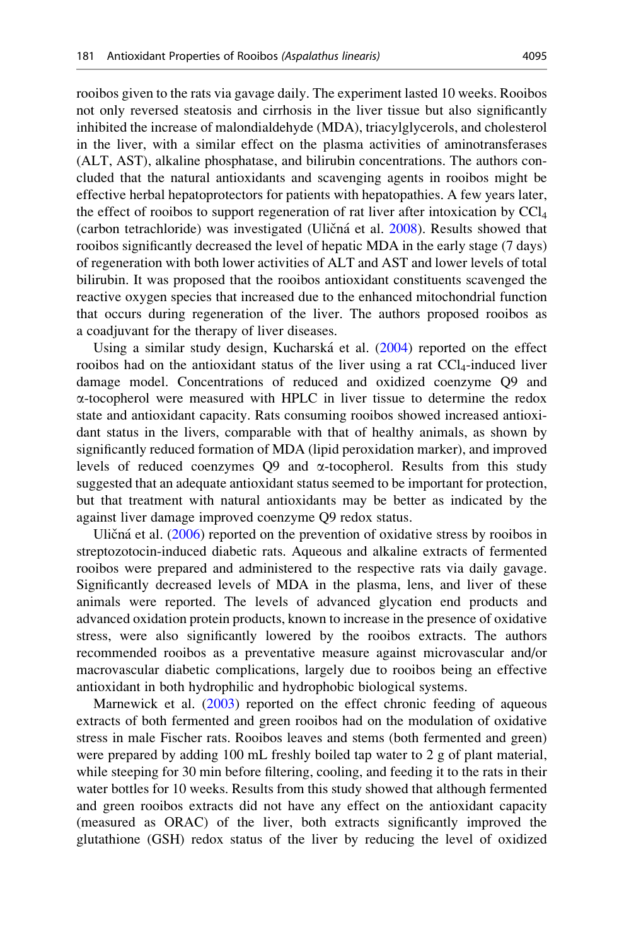rooibos given to the rats via gavage daily. The experiment lasted 10 weeks. Rooibos not only reversed steatosis and cirrhosis in the liver tissue but also significantly inhibited the increase of malondialdehyde (MDA), triacylglycerols, and cholesterol in the liver, with a similar effect on the plasma activities of aminotransferases (ALT, AST), alkaline phosphatase, and bilirubin concentrations. The authors concluded that the natural antioxidants and scavenging agents in rooibos might be effective herbal hepatoprotectors for patients with hepatopathies. A few years later, the effect of rooibos to support regeneration of rat liver after intoxication by  $\text{CC}l_4$ (carbon tetrachloride) was investigated (Uličná et al. [2008](#page-25-0)). Results showed that rooibos significantly decreased the level of hepatic MDA in the early stage (7 days) of regeneration with both lower activities of ALT and AST and lower levels of total bilirubin. It was proposed that the rooibos antioxidant constituents scavenged the reactive oxygen species that increased due to the enhanced mitochondrial function that occurs during regeneration of the liver. The authors proposed rooibos as a coadjuvant for the therapy of liver diseases.

Using a similar study design, Kucharská et al. ([2004\)](#page-23-0) reported on the effect rooibos had on the antioxidant status of the liver using a rat  $\text{CCl}_4$ -induced liver damage model. Concentrations of reduced and oxidized coenzyme Q9 and  $\alpha$ -tocopherol were measured with HPLC in liver tissue to determine the redox state and antioxidant capacity. Rats consuming rooibos showed increased antioxidant status in the livers, comparable with that of healthy animals, as shown by significantly reduced formation of MDA (lipid peroxidation marker), and improved levels of reduced coenzymes  $Q9$  and  $\alpha$ -tocopherol. Results from this study suggested that an adequate antioxidant status seemed to be important for protection, but that treatment with natural antioxidants may be better as indicated by the against liver damage improved coenzyme Q9 redox status.

Uličná et al.  $(2006)$  $(2006)$  reported on the prevention of oxidative stress by rooibos in streptozotocin-induced diabetic rats. Aqueous and alkaline extracts of fermented rooibos were prepared and administered to the respective rats via daily gavage. Significantly decreased levels of MDA in the plasma, lens, and liver of these animals were reported. The levels of advanced glycation end products and advanced oxidation protein products, known to increase in the presence of oxidative stress, were also significantly lowered by the rooibos extracts. The authors recommended rooibos as a preventative measure against microvascular and/or macrovascular diabetic complications, largely due to rooibos being an effective antioxidant in both hydrophilic and hydrophobic biological systems.

Marnewick et al. ([2003\)](#page-23-0) reported on the effect chronic feeding of aqueous extracts of both fermented and green rooibos had on the modulation of oxidative stress in male Fischer rats. Rooibos leaves and stems (both fermented and green) were prepared by adding 100 mL freshly boiled tap water to 2 g of plant material, while steeping for 30 min before filtering, cooling, and feeding it to the rats in their water bottles for 10 weeks. Results from this study showed that although fermented and green rooibos extracts did not have any effect on the antioxidant capacity (measured as ORAC) of the liver, both extracts significantly improved the glutathione (GSH) redox status of the liver by reducing the level of oxidized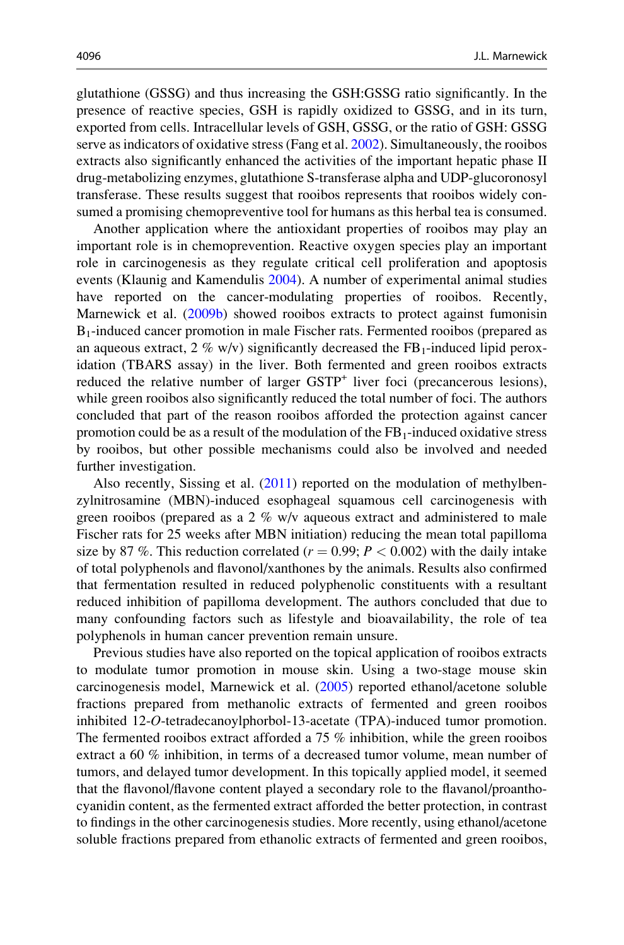glutathione (GSSG) and thus increasing the GSH:GSSG ratio significantly. In the presence of reactive species, GSH is rapidly oxidized to GSSG, and in its turn, exported from cells. Intracellular levels of GSH, GSSG, or the ratio of GSH: GSSG serve as indicators of oxidative stress (Fang et al. [2002](#page-22-0)). Simultaneously, the rooibos extracts also significantly enhanced the activities of the important hepatic phase II drug-metabolizing enzymes, glutathione S-transferase alpha and UDP-glucoronosyl transferase. These results suggest that rooibos represents that rooibos widely consumed a promising chemopreventive tool for humans as this herbal tea is consumed.

Another application where the antioxidant properties of rooibos may play an important role is in chemoprevention. Reactive oxygen species play an important role in carcinogenesis as they regulate critical cell proliferation and apoptosis events (Klaunig and Kamendulis [2004](#page-23-0)). A number of experimental animal studies have reported on the cancer-modulating properties of rooibos. Recently, Marnewick et al. [\(2009b](#page-23-0)) showed rooibos extracts to protect against fumonisin B1-induced cancer promotion in male Fischer rats. Fermented rooibos (prepared as an aqueous extract, 2 % w/v) significantly decreased the  $FB_1$ -induced lipid peroxidation (TBARS assay) in the liver. Both fermented and green rooibos extracts reduced the relative number of larger GSTP<sup>+</sup> liver foci (precancerous lesions), while green rooibos also significantly reduced the total number of foci. The authors concluded that part of the reason rooibos afforded the protection against cancer promotion could be as a result of the modulation of the  $FB<sub>1</sub>$ -induced oxidative stress by rooibos, but other possible mechanisms could also be involved and needed further investigation.

Also recently, Sissing et al. [\(2011](#page-24-0)) reported on the modulation of methylbenzylnitrosamine (MBN)-induced esophageal squamous cell carcinogenesis with green rooibos (prepared as a  $2\%$  w/v aqueous extract and administered to male Fischer rats for 25 weeks after MBN initiation) reducing the mean total papilloma size by 87 %. This reduction correlated ( $r = 0.99$ ;  $P < 0.002$ ) with the daily intake of total polyphenols and flavonol/xanthones by the animals. Results also confirmed that fermentation resulted in reduced polyphenolic constituents with a resultant reduced inhibition of papilloma development. The authors concluded that due to many confounding factors such as lifestyle and bioavailability, the role of tea polyphenols in human cancer prevention remain unsure.

Previous studies have also reported on the topical application of rooibos extracts to modulate tumor promotion in mouse skin. Using a two-stage mouse skin carcinogenesis model, Marnewick et al. [\(2005](#page-23-0)) reported ethanol/acetone soluble fractions prepared from methanolic extracts of fermented and green rooibos inhibited 12-O-tetradecanoylphorbol-13-acetate (TPA)-induced tumor promotion. The fermented rooibos extract afforded a 75 % inhibition, while the green rooibos extract a 60 % inhibition, in terms of a decreased tumor volume, mean number of tumors, and delayed tumor development. In this topically applied model, it seemed that the flavonol/flavone content played a secondary role to the flavanol/proanthocyanidin content, as the fermented extract afforded the better protection, in contrast to findings in the other carcinogenesis studies. More recently, using ethanol/acetone soluble fractions prepared from ethanolic extracts of fermented and green rooibos,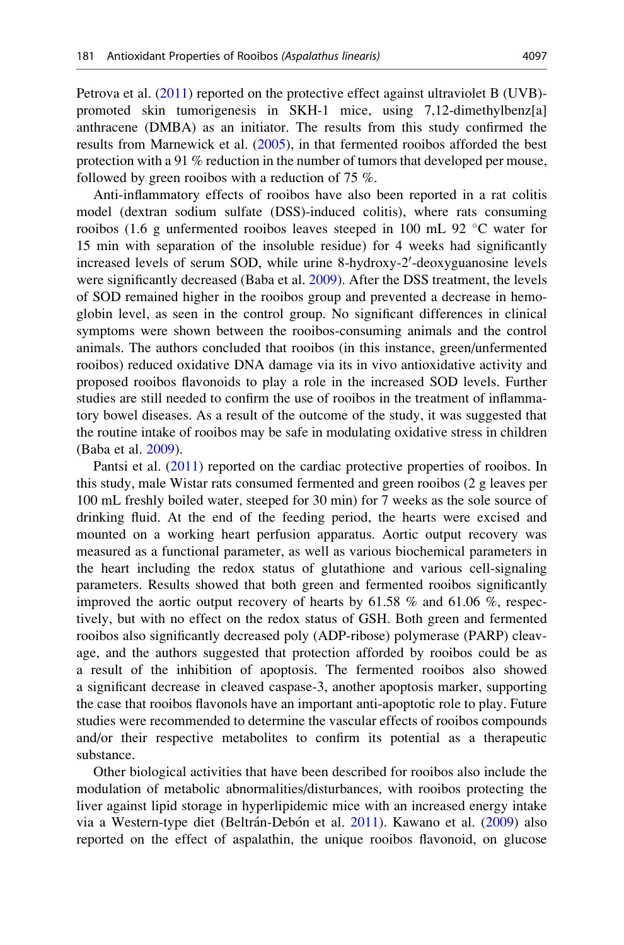Petrova et al. ([2011\)](#page-24-0) reported on the protective effect against ultraviolet B (UVB)promoted skin tumorigenesis in SKH-1 mice, using 7,12-dimethylbenz[a] anthracene (DMBA) as an initiator. The results from this study confirmed the results from Marnewick et al. [\(2005](#page-23-0)), in that fermented rooibos afforded the best protection with a 91 % reduction in the number of tumors that developed per mouse, followed by green rooibos with a reduction of 75 %.

Anti-inflammatory effects of rooibos have also been reported in a rat colitis model (dextran sodium sulfate (DSS)-induced colitis), where rats consuming rooibos (1.6 g unfermented rooibos leaves steeped in 100 mL 92  $\degree$ C water for 15 min with separation of the insoluble residue) for 4 weeks had significantly increased levels of serum SOD, while urine 8-hydroxy-2'-deoxyguanosine levels were significantly decreased (Baba et al. [2009\)](#page-21-0). After the DSS treatment, the levels of SOD remained higher in the rooibos group and prevented a decrease in hemoglobin level, as seen in the control group. No significant differences in clinical symptoms were shown between the rooibos-consuming animals and the control animals. The authors concluded that rooibos (in this instance, green/unfermented rooibos) reduced oxidative DNA damage via its in vivo antioxidative activity and proposed rooibos flavonoids to play a role in the increased SOD levels. Further studies are still needed to confirm the use of rooibos in the treatment of inflammatory bowel diseases. As a result of the outcome of the study, it was suggested that the routine intake of rooibos may be safe in modulating oxidative stress in children (Baba et al. [2009](#page-21-0)).

Pantsi et al. [\(2011](#page-24-0)) reported on the cardiac protective properties of rooibos. In this study, male Wistar rats consumed fermented and green rooibos (2 g leaves per 100 mL freshly boiled water, steeped for 30 min) for 7 weeks as the sole source of drinking fluid. At the end of the feeding period, the hearts were excised and mounted on a working heart perfusion apparatus. Aortic output recovery was measured as a functional parameter, as well as various biochemical parameters in the heart including the redox status of glutathione and various cell-signaling parameters. Results showed that both green and fermented rooibos significantly improved the aortic output recovery of hearts by 61.58 % and 61.06 %, respectively, but with no effect on the redox status of GSH. Both green and fermented rooibos also significantly decreased poly (ADP-ribose) polymerase (PARP) cleavage, and the authors suggested that protection afforded by rooibos could be as a result of the inhibition of apoptosis. The fermented rooibos also showed a significant decrease in cleaved caspase-3, another apoptosis marker, supporting the case that rooibos flavonols have an important anti-apoptotic role to play. Future studies were recommended to determine the vascular effects of rooibos compounds and/or their respective metabolites to confirm its potential as a therapeutic substance.

Other biological activities that have been described for rooibos also include the modulation of metabolic abnormalities/disturbances, with rooibos protecting the liver against lipid storage in hyperlipidemic mice with an increased energy intake via a Western-type diet (Beltrán-Debón et al. [2011\)](#page-21-0). Kawano et al. [\(2009](#page-23-0)) also reported on the effect of aspalathin, the unique rooibos flavonoid, on glucose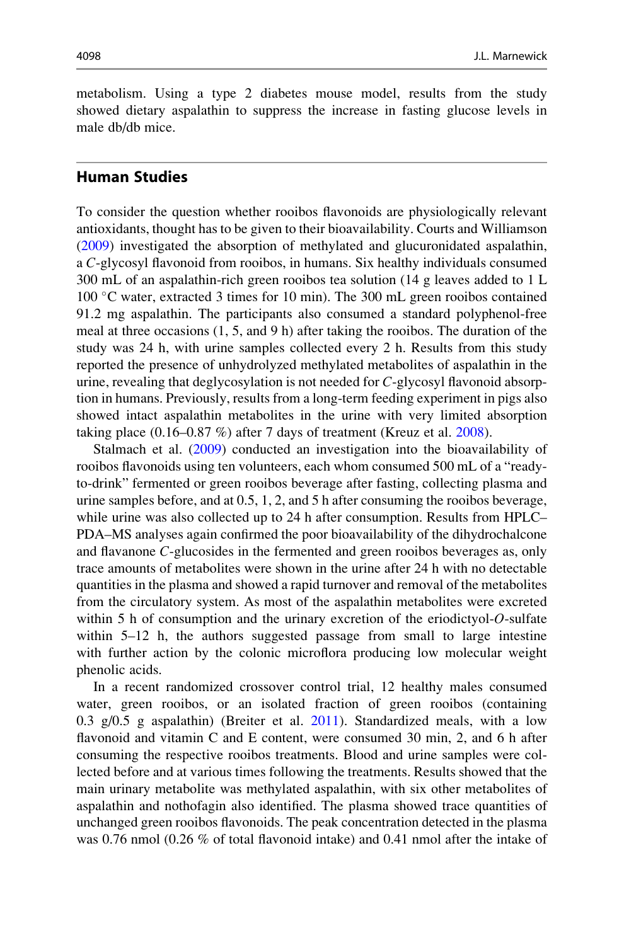<span id="page-15-0"></span>metabolism. Using a type 2 diabetes mouse model, results from the study showed dietary aspalathin to suppress the increase in fasting glucose levels in male db/db mice.

## Human Studies

To consider the question whether rooibos flavonoids are physiologically relevant antioxidants, thought has to be given to their bioavailability. Courts and Williamson [\(2009](#page-22-0)) investigated the absorption of methylated and glucuronidated aspalathin, a C-glycosyl flavonoid from rooibos, in humans. Six healthy individuals consumed 300 mL of an aspalathin-rich green rooibos tea solution (14 g leaves added to 1 L 100 C water, extracted 3 times for 10 min). The 300 mL green rooibos contained 91.2 mg aspalathin. The participants also consumed a standard polyphenol-free meal at three occasions (1, 5, and 9 h) after taking the rooibos. The duration of the study was 24 h, with urine samples collected every 2 h. Results from this study reported the presence of unhydrolyzed methylated metabolites of aspalathin in the urine, revealing that deglycosylation is not needed for C-glycosyl flavonoid absorption in humans. Previously, results from a long-term feeding experiment in pigs also showed intact aspalathin metabolites in the urine with very limited absorption taking place  $(0.16-0.87\%)$  after 7 days of treatment (Kreuz et al. [2008](#page-23-0)).

Stalmach et al. [\(2009](#page-24-0)) conducted an investigation into the bioavailability of rooibos flavonoids using ten volunteers, each whom consumed 500 mL of a "readyto-drink" fermented or green rooibos beverage after fasting, collecting plasma and urine samples before, and at 0.5, 1, 2, and 5 h after consuming the rooibos beverage, while urine was also collected up to 24 h after consumption. Results from HPLC– PDA–MS analyses again confirmed the poor bioavailability of the dihydrochalcone and flavanone C-glucosides in the fermented and green rooibos beverages as, only trace amounts of metabolites were shown in the urine after 24 h with no detectable quantities in the plasma and showed a rapid turnover and removal of the metabolites from the circulatory system. As most of the aspalathin metabolites were excreted within 5 h of consumption and the urinary excretion of the eriodictyol-O-sulfate within 5–12 h, the authors suggested passage from small to large intestine with further action by the colonic microflora producing low molecular weight phenolic acids.

In a recent randomized crossover control trial, 12 healthy males consumed water, green rooibos, or an isolated fraction of green rooibos (containing 0.3  $g/0.5$  g aspalathin) (Breiter et al. [2011](#page-21-0)). Standardized meals, with a low flavonoid and vitamin C and E content, were consumed 30 min, 2, and 6 h after consuming the respective rooibos treatments. Blood and urine samples were collected before and at various times following the treatments. Results showed that the main urinary metabolite was methylated aspalathin, with six other metabolites of aspalathin and nothofagin also identified. The plasma showed trace quantities of unchanged green rooibos flavonoids. The peak concentration detected in the plasma was 0.76 nmol (0.26 % of total flavonoid intake) and 0.41 nmol after the intake of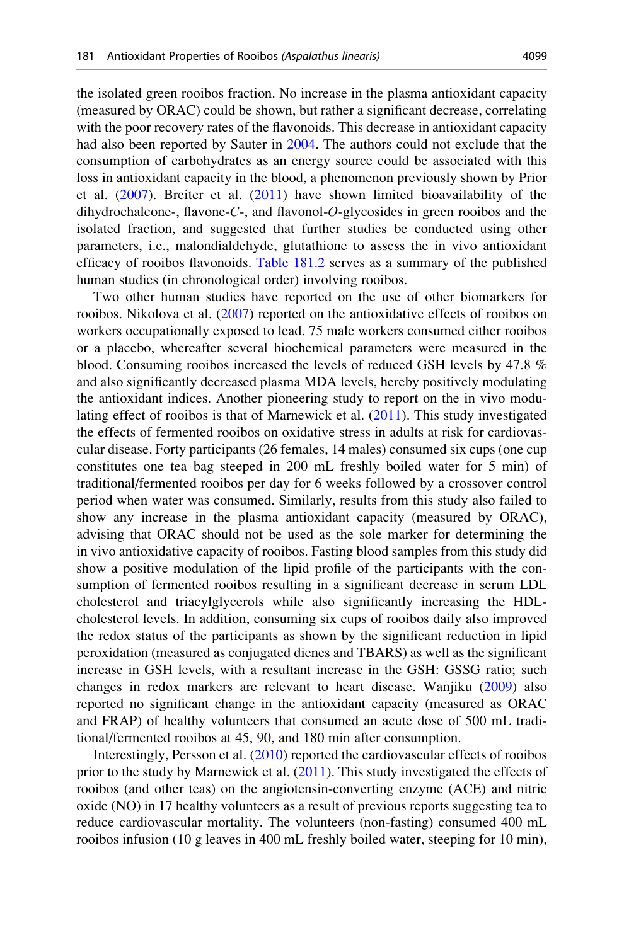the isolated green rooibos fraction. No increase in the plasma antioxidant capacity (measured by ORAC) could be shown, but rather a significant decrease, correlating with the poor recovery rates of the flavonoids. This decrease in antioxidant capacity had also been reported by Sauter in [2004](#page-24-0). The authors could not exclude that the consumption of carbohydrates as an energy source could be associated with this loss in antioxidant capacity in the blood, a phenomenon previously shown by Prior et al.  $(2007)$  $(2007)$ . Breiter et al.  $(2011)$  $(2011)$  have shown limited bioavailability of the dihydrochalcone-, flavone-C-, and flavonol-O-glycosides in green rooibos and the isolated fraction, and suggested that further studies be conducted using other parameters, i.e., malondialdehyde, glutathione to assess the in vivo antioxidant efficacy of rooibos flavonoids. [Table 181.2](#page-17-0) serves as a summary of the published human studies (in chronological order) involving rooibos.

Two other human studies have reported on the use of other biomarkers for rooibos. Nikolova et al. ([2007\)](#page-23-0) reported on the antioxidative effects of rooibos on workers occupationally exposed to lead. 75 male workers consumed either rooibos or a placebo, whereafter several biochemical parameters were measured in the blood. Consuming rooibos increased the levels of reduced GSH levels by 47.8 % and also significantly decreased plasma MDA levels, hereby positively modulating the antioxidant indices. Another pioneering study to report on the in vivo modulating effect of rooibos is that of Marnewick et al. [\(2011](#page-23-0)). This study investigated the effects of fermented rooibos on oxidative stress in adults at risk for cardiovascular disease. Forty participants (26 females, 14 males) consumed six cups (one cup constitutes one tea bag steeped in 200 mL freshly boiled water for 5 min) of traditional/fermented rooibos per day for 6 weeks followed by a crossover control period when water was consumed. Similarly, results from this study also failed to show any increase in the plasma antioxidant capacity (measured by ORAC), advising that ORAC should not be used as the sole marker for determining the in vivo antioxidative capacity of rooibos. Fasting blood samples from this study did show a positive modulation of the lipid profile of the participants with the consumption of fermented rooibos resulting in a significant decrease in serum LDL cholesterol and triacylglycerols while also significantly increasing the HDLcholesterol levels. In addition, consuming six cups of rooibos daily also improved the redox status of the participants as shown by the significant reduction in lipid peroxidation (measured as conjugated dienes and TBARS) as well as the significant increase in GSH levels, with a resultant increase in the GSH: GSSG ratio; such changes in redox markers are relevant to heart disease. Wanjiku [\(2009](#page-25-0)) also reported no significant change in the antioxidant capacity (measured as ORAC and FRAP) of healthy volunteers that consumed an acute dose of 500 mL traditional/fermented rooibos at 45, 90, and 180 min after consumption.

Interestingly, Persson et al. [\(2010](#page-24-0)) reported the cardiovascular effects of rooibos prior to the study by Marnewick et al. [\(2011](#page-23-0)). This study investigated the effects of rooibos (and other teas) on the angiotensin-converting enzyme (ACE) and nitric oxide (NO) in 17 healthy volunteers as a result of previous reports suggesting tea to reduce cardiovascular mortality. The volunteers (non-fasting) consumed 400 mL rooibos infusion (10 g leaves in 400 mL freshly boiled water, steeping for 10 min),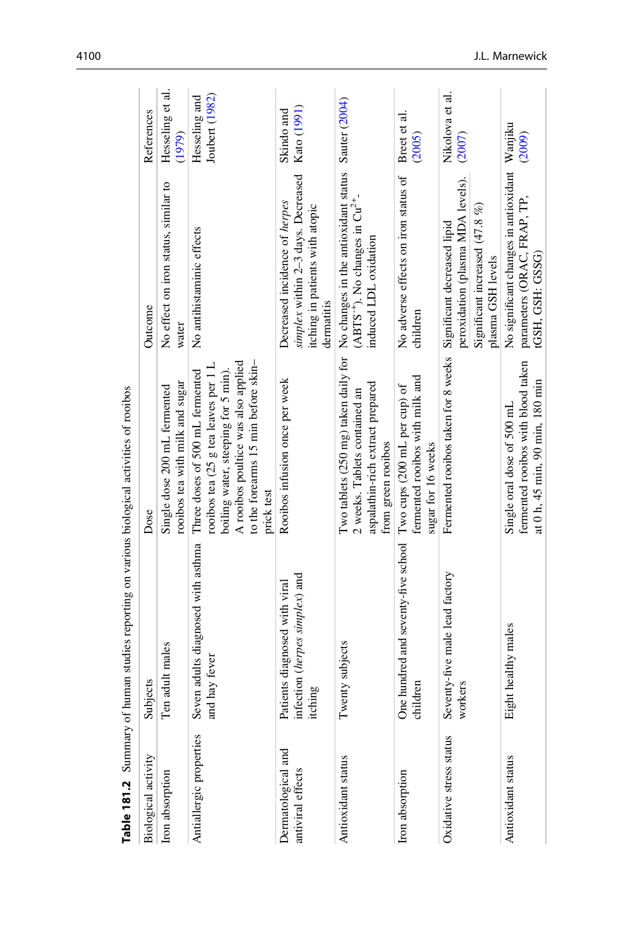<span id="page-17-0"></span>

| Table $181.2$ Summary                   | ot human studies reporting on various biological activities of rootbos       |                                                                                                                                                                                                            |                                                                                                                                            |                                 |
|-----------------------------------------|------------------------------------------------------------------------------|------------------------------------------------------------------------------------------------------------------------------------------------------------------------------------------------------------|--------------------------------------------------------------------------------------------------------------------------------------------|---------------------------------|
| <b>Biological activity</b>              | Subjects                                                                     | Dose                                                                                                                                                                                                       | Outcome                                                                                                                                    | References                      |
| Iron absorption                         | Ten adult males                                                              | rooibos tea with milk and sugar<br>Single dose 200 mL fermented                                                                                                                                            | No effect on iron status, similar to<br>water                                                                                              | Hesseling et al.<br>(1979)      |
| Antiallergic properties                 | Seven adults diagnosed with asthma<br>and hay fever                          | to the forearms 15 min before skin-<br>A rooibos poultice was also applied<br>rooibos tea (25 g tea leaves per 1 L<br>Three doses of 500 mL fermented<br>boiling water, steeping for 5 min).<br>prick test | No antihistaminic effects                                                                                                                  | Joubert (1982)<br>Hesseling and |
| Dermatological and<br>antiviral effects | infection (herpes simplex) and<br>Patients diagnosed with viral<br>itching   | Rooibos infusion once per week                                                                                                                                                                             | simplex within 2-3 days. Decreased<br>Decreased incidence of herpes<br>itching in patients with atopic<br>dermatitis                       | Kato (1991)<br>Skindo and       |
| Antioxidant status                      | Twenty subjects                                                              | aspalathin-rich extract prepared<br>2 weeks. Tablets contained an<br>from green rooibos                                                                                                                    | Two tablets (250 mg) taken daily for No changes in the antioxidant status<br>$(ABTS^+)$ . No changes in $Cu^{2+}$<br>induced LDL oxidation | Sauter (2004)                   |
| Iron absorption                         | One hundred and seventy-five school Two cups (200 mL per cup) of<br>children | fermented rooibos with milk and<br>sugar for 16 weeks                                                                                                                                                      | No adverse effects on iron status of<br>children                                                                                           | Breet et al.<br>(2005)          |
| Oxidative stress status                 | Seventy-five male lead factory<br>workers                                    | Fermented rooibos taken for 8 weeks                                                                                                                                                                        | peroxidation (plasma MDA levels).<br>Significant increased $(47.8\%)$<br>Significant decreased lipid<br>plasma GSH levels                  | Nikolova et al.<br>(2007)       |
| Antioxidant status                      | Eight healthy males                                                          | fermented rooibos with blood taken<br>at 0 h, 45 min, 90 min, 180 min<br>Single oral dose of 500 mL                                                                                                        | No significant changes in antioxidant Wanjiku<br>parameters (ORAC, FRAP, TP,<br>tGSH, GSH: GSSG                                            | (2009)                          |

Table 181.2 Summary of human studies reporting on various biological activities of rooibos  $-\frac{1}{2}$  $\ddot{\cdot}$ Ŕ ł  $\overline{a}$  $\cdot$ Ļ. ś J, ł ∵≓  $\ddot{+}$  $\tilde{\sigma}$ Table 181.2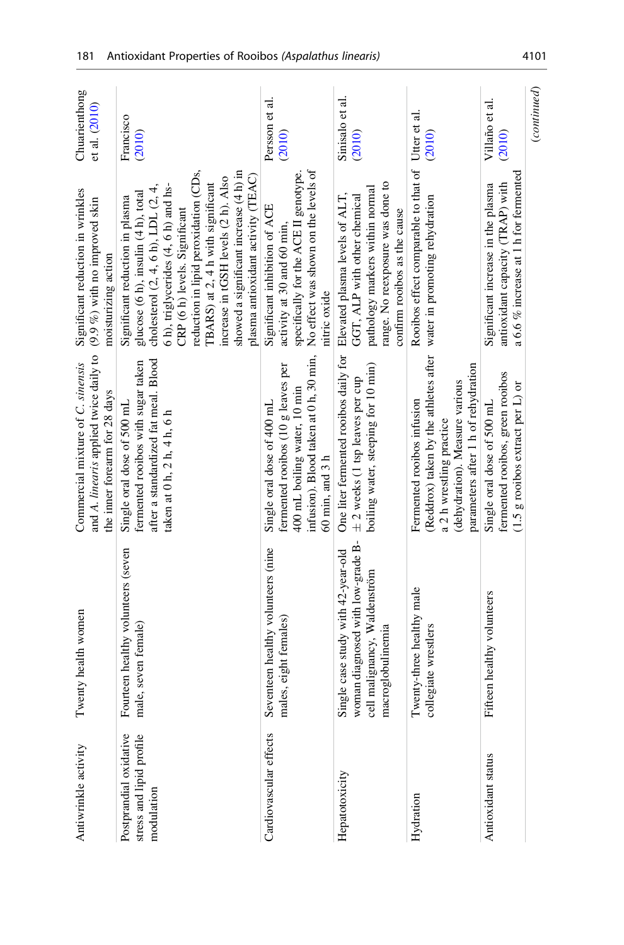| Antiwrinkle activity                               | Twenty health women                                                                                                          | and A. linearis applied twice daily to<br>Commercial mixture of C. sinensis<br>the inner forearm for 28 days                                                             | Significant reduction in wrinkles<br>$(9.9 %)$ with no improved skin<br>moisturizing action                                                                                                                                                                                                                                                                                                     | Chuarienthong<br>et al. (2010) |
|----------------------------------------------------|------------------------------------------------------------------------------------------------------------------------------|--------------------------------------------------------------------------------------------------------------------------------------------------------------------------|-------------------------------------------------------------------------------------------------------------------------------------------------------------------------------------------------------------------------------------------------------------------------------------------------------------------------------------------------------------------------------------------------|--------------------------------|
| Postprandial oxidative<br>stress and lipid profile | Fourteen healthy volunteers (seven<br>male, seven female)                                                                    | after a standardized fat meal. Blood<br>fermented rooibos with sugar taken<br>Single oral dose of 500 mL<br>taken at 0 h, 2 h, 4 h, 6 h                                  | reduction in lipid peroxidation (CDs,<br>showed a significant increase (4 h) in<br>plasma antioxidant activity (TEAC)<br>increase in tGSH levels (2 h). Also<br>TBARS) at 2, 4 h with significant<br>6 h), triglycerides (4, 6 h) and hs-<br>cholesterol $(2, 4, 6h)$ , LDL $(2, 4,$<br>glucose (6 h), insulin (4 h), total<br>Significant reduction in plasma<br>CRP (6 h) levels. Significant | Francisco<br>(2010)            |
| Cardiovascular effects                             | Seventeen healthy volunteers (nine<br>males, eight females)                                                                  | infusion). Blood taken at 0 h, 30 min,<br>fermented rooibos (10 g leaves per<br>400 mL boiling water, 10 min<br>Single oral dose of 400 mL<br>60 min, and 3 h            | No effect was shown on the levels of<br>specifically for the ACE II genotype.<br>Significant inhibition of ACE<br>activity at 30 and 60 min,<br>nitric oxide                                                                                                                                                                                                                                    | Persson et al.<br>(2010)       |
| Hepatotoxicity                                     | woman diagnosed with low-grade B-<br>Single case study with 42-year-old<br>cell malignancy, Waldenström<br>macroglobulinemia | One liter fermented rooibos daily for<br>boiling water, steeping for 10 min)<br>$\pm$ 2 weeks (1 tsp leaves per cup                                                      | range. No reexposure was done to<br>pathology markers within normal<br>Elevated plasma levels of ALT,<br>GGT, ALP with other chemical<br>confirm rooibos as the cause                                                                                                                                                                                                                           | Sinisalo et al.<br>(2010)      |
|                                                    | Twenty-three healthy male<br>collegiate wrestlers                                                                            | (Reddrox) taken by the athletes after<br>parameters after 1 h of rehydration<br>(dehydration). Measure various<br>Fermented rooibos infusion<br>a 2 h wrestling practice | Rooibos effect comparable to that of<br>water in promoting rehydration                                                                                                                                                                                                                                                                                                                          | Utter et al.<br>(2010)         |
| Antioxidant status                                 | Fifteen healthy volunteers                                                                                                   | fermented rooibos, green rooibos<br>$(1.5 \text{ g}$ rooibos extract per L) or<br>Single oral dose of 500 mL                                                             | a 6.6 % increase at 1 h for fermented<br>antioxidant capacity (TRAP) with<br>Significant increase in the plasma                                                                                                                                                                                                                                                                                 | Villaño et al.<br>(2010)       |
|                                                    |                                                                                                                              |                                                                                                                                                                          |                                                                                                                                                                                                                                                                                                                                                                                                 | (continued)                    |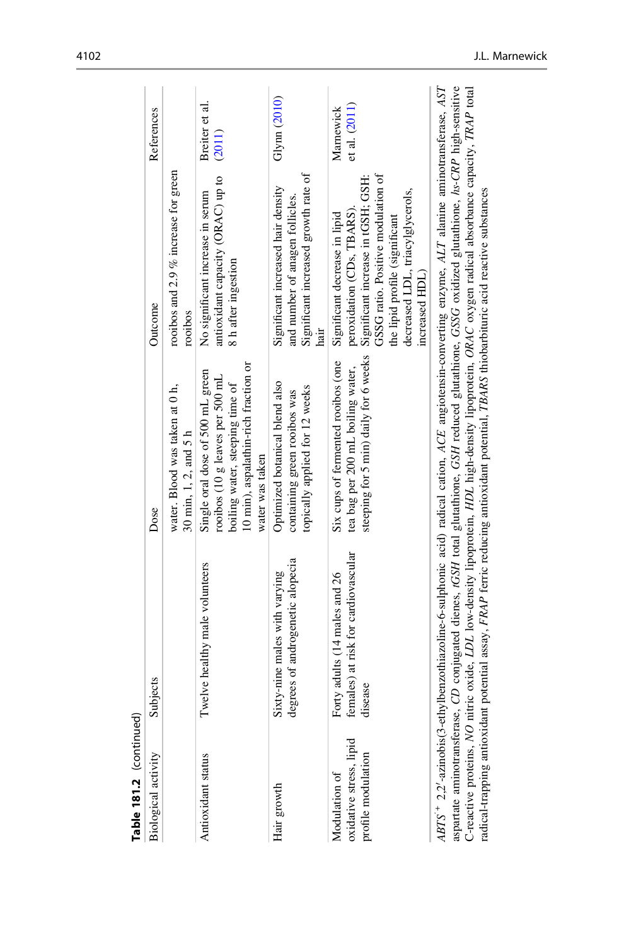| Table 181.2 (continued)                                        |                                                                                 |                                                                                                                                                                                                                                                                                                                                                                                                                                                                                                                                                                                           |                                                                                                                                                                                                                                 |                            |
|----------------------------------------------------------------|---------------------------------------------------------------------------------|-------------------------------------------------------------------------------------------------------------------------------------------------------------------------------------------------------------------------------------------------------------------------------------------------------------------------------------------------------------------------------------------------------------------------------------------------------------------------------------------------------------------------------------------------------------------------------------------|---------------------------------------------------------------------------------------------------------------------------------------------------------------------------------------------------------------------------------|----------------------------|
| <b>Biological activity</b>                                     | Subjects                                                                        | Dose                                                                                                                                                                                                                                                                                                                                                                                                                                                                                                                                                                                      | Outcome                                                                                                                                                                                                                         | References                 |
|                                                                |                                                                                 | water. Blood was taken at 0 h,<br>30 min, $1, 2$ , and $5 h$                                                                                                                                                                                                                                                                                                                                                                                                                                                                                                                              | rooibos and 2.9 $%$ increase for green<br>rooibos                                                                                                                                                                               |                            |
| Antioxidant status                                             | Twelve healthy male volunteers                                                  | 10 min), aspalathin-rich fraction or<br>Single oral dose of 500 mL green<br>rooibos (10 g leaves per 500 mL<br>boiling water, steeping time of<br>water was taken                                                                                                                                                                                                                                                                                                                                                                                                                         | antioxidant capacity (ORAC) up to<br>No significant increase in serum<br>8 h after ingestion                                                                                                                                    | Breiter et al.<br>(2011)   |
| Hair growth                                                    | degrees of androgenetic alopecia<br>Sixty-nine males with varying               | Optimized botanical blend also<br>topically applied for 12 weeks<br>containing green rooibos was                                                                                                                                                                                                                                                                                                                                                                                                                                                                                          | Significant increased growth rate of<br>Significant increased hair density<br>and number of anagen follicles.<br>hair                                                                                                           | Glynn (2010)               |
| oxidative stress, lipid<br>profile modulation<br>Modulation of | females) at risk for cardiovascular<br>Forty adults (14 males and 26<br>disease | steeping for 5 min) daily for 6 weeks<br>Six cups of fermented rooibos (one<br>tea bag per 200 mL boiling water,                                                                                                                                                                                                                                                                                                                                                                                                                                                                          | GSSG ratio. Positive modulation of<br>Significant increase in tGSH; GSH:<br>decreased LDL, triacylglycerols,<br>peroxidation (CDs, TBARS).<br>Significant decrease in lipid<br>the lipid profile (significant<br>increased HDL) | et al. (2011)<br>Marnewick |
| C-reactive proteins, NO                                        |                                                                                 | $ABTS^+$ $2.2'$ -azinobis(3-ethylbenzothiazoline-6-sulphonic acid) radical cation, ACE angiotensin-converting enzyme, ALT alanine aminotransferase, AST<br>aspartate aminotransferase, CD conjugated dienes, tGSH total glutathione, GSH reduced glutathione, GSSG oxidized glutathione, hs-CRP high-sensitive<br>nitric oxide, LDL low-density lipoprotein, HDL high-density lipoprotein, ORAC oxygen radical absorbance capacity, TRAP total<br>radical-trapping antioxidant potential assay, FRAP ferric reducing antioxidant potential, TBARS thiobarbituric acid reactive substances |                                                                                                                                                                                                                                 |                            |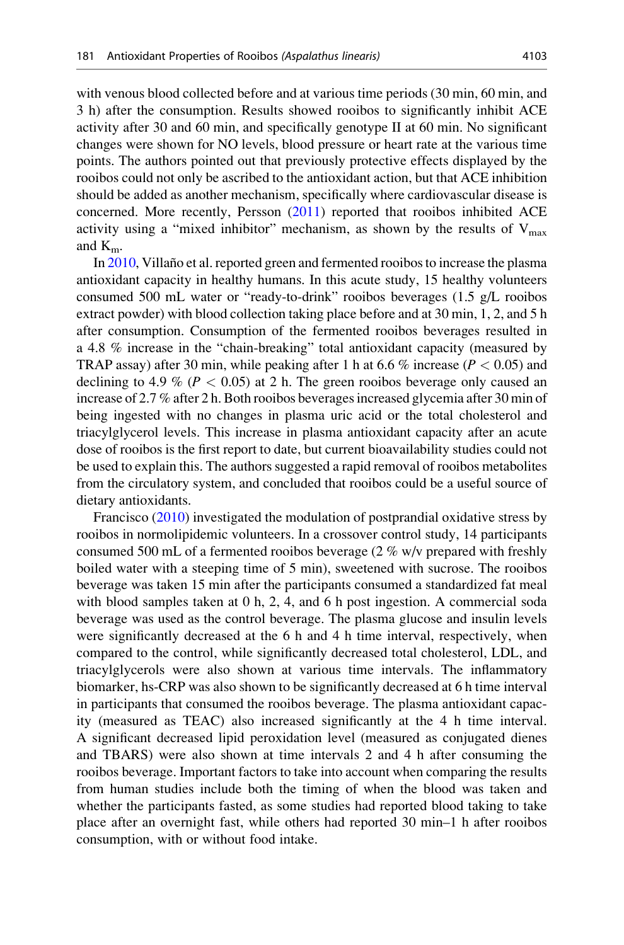with venous blood collected before and at various time periods (30 min, 60 min, and 3 h) after the consumption. Results showed rooibos to significantly inhibit ACE activity after 30 and 60 min, and specifically genotype II at 60 min. No significant changes were shown for NO levels, blood pressure or heart rate at the various time points. The authors pointed out that previously protective effects displayed by the rooibos could not only be ascribed to the antioxidant action, but that ACE inhibition should be added as another mechanism, specifically where cardiovascular disease is concerned. More recently, Persson ([2011\)](#page-24-0) reported that rooibos inhibited ACE activity using a "mixed inhibitor" mechanism, as shown by the results of  $V_{\text{max}}$ and  $K_{m}$ .

In [2010,](#page-25-0) Villaño et al. reported green and fermented rooibos to increase the plasma antioxidant capacity in healthy humans. In this acute study, 15 healthy volunteers consumed 500 mL water or "ready-to-drink" rooibos beverages (1.5 g/L rooibos extract powder) with blood collection taking place before and at 30 min, 1, 2, and 5 h after consumption. Consumption of the fermented rooibos beverages resulted in a 4.8 % increase in the "chain-breaking" total antioxidant capacity (measured by TRAP assay) after 30 min, while peaking after 1 h at 6.6 % increase ( $P < 0.05$ ) and declining to 4.9 % ( $P < 0.05$ ) at 2 h. The green rooibos beverage only caused an increase of 2.7 % after 2 h. Both rooibos beverages increased glycemia after 30 min of being ingested with no changes in plasma uric acid or the total cholesterol and triacylglycerol levels. This increase in plasma antioxidant capacity after an acute dose of rooibos is the first report to date, but current bioavailability studies could not be used to explain this. The authors suggested a rapid removal of rooibos metabolites from the circulatory system, and concluded that rooibos could be a useful source of dietary antioxidants.

Francisco [\(2010](#page-22-0)) investigated the modulation of postprandial oxidative stress by rooibos in normolipidemic volunteers. In a crossover control study, 14 participants consumed 500 mL of a fermented rooibos beverage (2 % w/v prepared with freshly boiled water with a steeping time of 5 min), sweetened with sucrose. The rooibos beverage was taken 15 min after the participants consumed a standardized fat meal with blood samples taken at 0 h, 2, 4, and 6 h post ingestion. A commercial soda beverage was used as the control beverage. The plasma glucose and insulin levels were significantly decreased at the 6 h and 4 h time interval, respectively, when compared to the control, while significantly decreased total cholesterol, LDL, and triacylglycerols were also shown at various time intervals. The inflammatory biomarker, hs-CRP was also shown to be significantly decreased at 6 h time interval in participants that consumed the rooibos beverage. The plasma antioxidant capacity (measured as TEAC) also increased significantly at the 4 h time interval. A significant decreased lipid peroxidation level (measured as conjugated dienes and TBARS) were also shown at time intervals 2 and 4 h after consuming the rooibos beverage. Important factors to take into account when comparing the results from human studies include both the timing of when the blood was taken and whether the participants fasted, as some studies had reported blood taking to take place after an overnight fast, while others had reported 30 min–1 h after rooibos consumption, with or without food intake.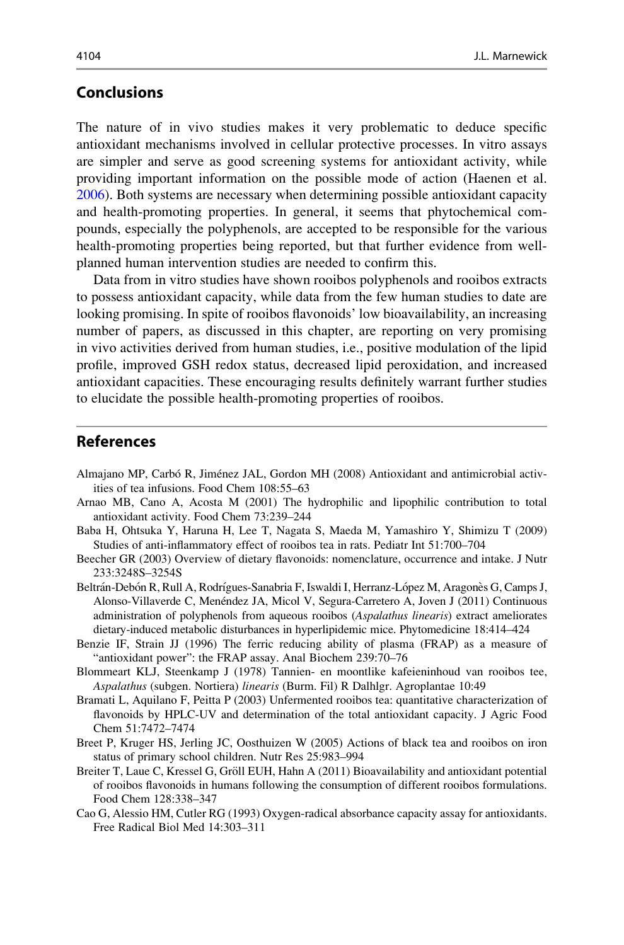# <span id="page-21-0"></span>Conclusions

The nature of in vivo studies makes it very problematic to deduce specific antioxidant mechanisms involved in cellular protective processes. In vitro assays are simpler and serve as good screening systems for antioxidant activity, while providing important information on the possible mode of action (Haenen et al. [2006\)](#page-22-0). Both systems are necessary when determining possible antioxidant capacity and health-promoting properties. In general, it seems that phytochemical compounds, especially the polyphenols, are accepted to be responsible for the various health-promoting properties being reported, but that further evidence from wellplanned human intervention studies are needed to confirm this.

Data from in vitro studies have shown rooibos polyphenols and rooibos extracts to possess antioxidant capacity, while data from the few human studies to date are looking promising. In spite of rooibos flavonoids' low bioavailability, an increasing number of papers, as discussed in this chapter, are reporting on very promising in vivo activities derived from human studies, i.e., positive modulation of the lipid profile, improved GSH redox status, decreased lipid peroxidation, and increased antioxidant capacities. These encouraging results definitely warrant further studies to elucidate the possible health-promoting properties of rooibos.

#### References

- Almajano MP, Carbó R, Jiménez JAL, Gordon MH (2008) Antioxidant and antimicrobial activities of tea infusions. Food Chem 108:55–63
- Arnao MB, Cano A, Acosta M (2001) The hydrophilic and lipophilic contribution to total antioxidant activity. Food Chem 73:239–244
- Baba H, Ohtsuka Y, Haruna H, Lee T, Nagata S, Maeda M, Yamashiro Y, Shimizu T (2009) Studies of anti-inflammatory effect of rooibos tea in rats. Pediatr Int 51:700–704
- Beecher GR (2003) Overview of dietary flavonoids: nomenclature, occurrence and intake. J Nutr 233:3248S–3254S
- Beltrán-Debón R, Rull A, Rodrígues-Sanabria F, Iswaldi I, Herranz-López M, Aragonès G, Camps J, Alonso-Villaverde C, Menéndez JA, Micol V, Segura-Carretero A, Joven J (2011) Continuous administration of polyphenols from aqueous rooibos (Aspalathus linearis) extract ameliorates dietary-induced metabolic disturbances in hyperlipidemic mice. Phytomedicine 18:414–424
- Benzie IF, Strain JJ (1996) The ferric reducing ability of plasma (FRAP) as a measure of "antioxidant power": the FRAP assay. Anal Biochem 239:70–76
- Blommeart KLJ, Steenkamp J (1978) Tannien- en moontlike kafeieninhoud van rooibos tee, Aspalathus (subgen. Nortiera) linearis (Burm. Fil) R Dalhlgr. Agroplantae 10:49
- Bramati L, Aquilano F, Peitta P (2003) Unfermented rooibos tea: quantitative characterization of flavonoids by HPLC-UV and determination of the total antioxidant capacity. J Agric Food Chem 51:7472–7474
- Breet P, Kruger HS, Jerling JC, Oosthuizen W (2005) Actions of black tea and rooibos on iron status of primary school children. Nutr Res 25:983–994
- Breiter T, Laue C, Kressel G, Gröll EUH, Hahn A (2011) Bioavailability and antioxidant potential of rooibos flavonoids in humans following the consumption of different rooibos formulations. Food Chem 128:338–347
- Cao G, Alessio HM, Cutler RG (1993) Oxygen-radical absorbance capacity assay for antioxidants. Free Radical Biol Med 14:303–311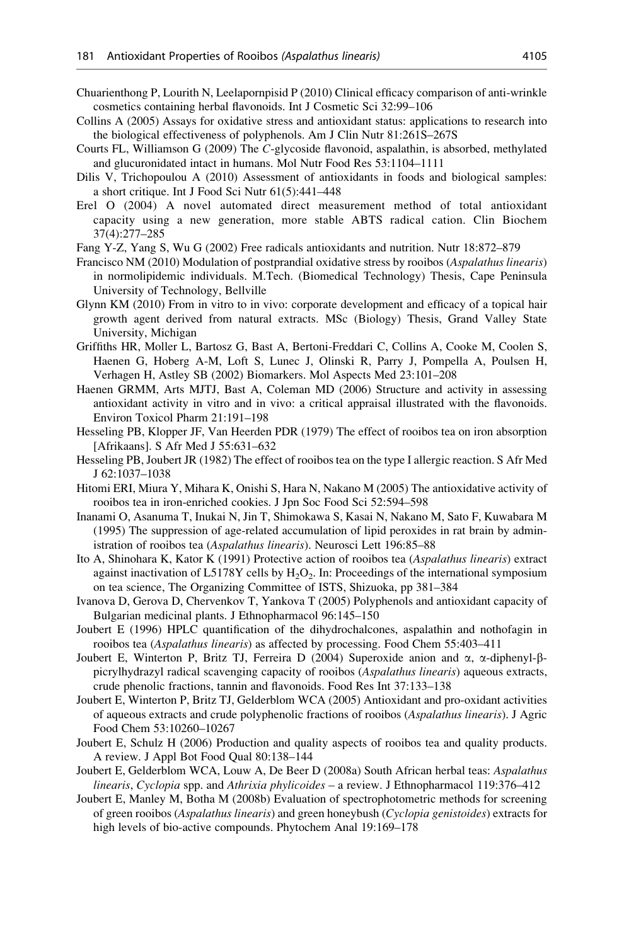- <span id="page-22-0"></span>Chuarienthong P, Lourith N, Leelapornpisid P (2010) Clinical efficacy comparison of anti-wrinkle cosmetics containing herbal flavonoids. Int J Cosmetic Sci 32:99–106
- Collins A (2005) Assays for oxidative stress and antioxidant status: applications to research into the biological effectiveness of polyphenols. Am J Clin Nutr 81:261S–267S
- Courts FL, Williamson G (2009) The C-glycoside flavonoid, aspalathin, is absorbed, methylated and glucuronidated intact in humans. Mol Nutr Food Res 53:1104–1111
- Dilis V, Trichopoulou A (2010) Assessment of antioxidants in foods and biological samples: a short critique. Int J Food Sci Nutr 61(5):441–448
- Erel O (2004) A novel automated direct measurement method of total antioxidant capacity using a new generation, more stable ABTS radical cation. Clin Biochem 37(4):277–285
- Fang Y-Z, Yang S, Wu G (2002) Free radicals antioxidants and nutrition. Nutr 18:872–879
- Francisco NM (2010) Modulation of postprandial oxidative stress by rooibos (Aspalathus linearis) in normolipidemic individuals. M.Tech. (Biomedical Technology) Thesis, Cape Peninsula University of Technology, Bellville
- Glynn KM (2010) From in vitro to in vivo: corporate development and efficacy of a topical hair growth agent derived from natural extracts. MSc (Biology) Thesis, Grand Valley State University, Michigan
- Griffiths HR, Moller L, Bartosz G, Bast A, Bertoni-Freddari C, Collins A, Cooke M, Coolen S, Haenen G, Hoberg A-M, Loft S, Lunec J, Olinski R, Parry J, Pompella A, Poulsen H, Verhagen H, Astley SB (2002) Biomarkers. Mol Aspects Med 23:101–208
- Haenen GRMM, Arts MJTJ, Bast A, Coleman MD (2006) Structure and activity in assessing antioxidant activity in vitro and in vivo: a critical appraisal illustrated with the flavonoids. Environ Toxicol Pharm 21:191–198
- Hesseling PB, Klopper JF, Van Heerden PDR (1979) The effect of rooibos tea on iron absorption [Afrikaans]. S Afr Med J 55:631–632
- Hesseling PB, Joubert JR (1982) The effect of rooibos tea on the type I allergic reaction. S Afr Med J 62:1037–1038
- Hitomi ERI, Miura Y, Mihara K, Onishi S, Hara N, Nakano M (2005) The antioxidative activity of rooibos tea in iron-enriched cookies. J Jpn Soc Food Sci 52:594–598
- Inanami O, Asanuma T, Inukai N, Jin T, Shimokawa S, Kasai N, Nakano M, Sato F, Kuwabara M (1995) The suppression of age-related accumulation of lipid peroxides in rat brain by administration of rooibos tea (Aspalathus linearis). Neurosci Lett 196:85–88
- Ito A, Shinohara K, Kator K (1991) Protective action of rooibos tea (Aspalathus linearis) extract against inactivation of L5178Y cells by  $H_2O_2$ . In: Proceedings of the international symposium on tea science, The Organizing Committee of ISTS, Shizuoka, pp 381–384
- Ivanova D, Gerova D, Chervenkov T, Yankova T (2005) Polyphenols and antioxidant capacity of Bulgarian medicinal plants. J Ethnopharmacol 96:145–150
- Joubert E (1996) HPLC quantification of the dihydrochalcones, aspalathin and nothofagin in rooibos tea (Aspalathus linearis) as affected by processing. Food Chem 55:403–411
- Joubert E, Winterton P, Britz TJ, Ferreira D (2004) Superoxide anion and  $\alpha$ ,  $\alpha$ -diphenyl- $\beta$ picrylhydrazyl radical scavenging capacity of rooibos (Aspalathus linearis) aqueous extracts, crude phenolic fractions, tannin and flavonoids. Food Res Int 37:133–138
- Joubert E, Winterton P, Britz TJ, Gelderblom WCA (2005) Antioxidant and pro-oxidant activities of aqueous extracts and crude polyphenolic fractions of rooibos (Aspalathus linearis). J Agric Food Chem 53:10260–10267
- Joubert E, Schulz H (2006) Production and quality aspects of rooibos tea and quality products. A review. J Appl Bot Food Qual 80:138–144
- Joubert E, Gelderblom WCA, Louw A, De Beer D (2008a) South African herbal teas: Aspalathus linearis, Cyclopia spp. and Athrixia phylicoides – a review. J Ethnopharmacol 119:376–412
- Joubert E, Manley M, Botha M (2008b) Evaluation of spectrophotometric methods for screening of green rooibos (Aspalathus linearis) and green honeybush (Cyclopia genistoides) extracts for high levels of bio-active compounds. Phytochem Anal 19:169–178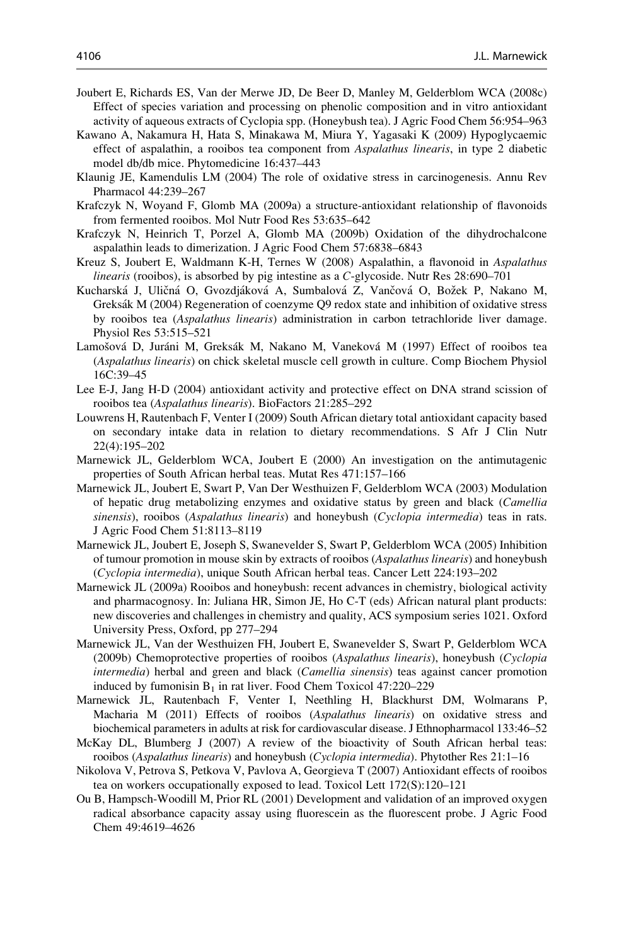- <span id="page-23-0"></span>Joubert E, Richards ES, Van der Merwe JD, De Beer D, Manley M, Gelderblom WCA (2008c) Effect of species variation and processing on phenolic composition and in vitro antioxidant activity of aqueous extracts of Cyclopia spp. (Honeybush tea). J Agric Food Chem 56:954–963
- Kawano A, Nakamura H, Hata S, Minakawa M, Miura Y, Yagasaki K (2009) Hypoglycaemic effect of aspalathin, a rooibos tea component from *Aspalathus linearis*, in type 2 diabetic model db/db mice. Phytomedicine 16:437–443
- Klaunig JE, Kamendulis LM (2004) The role of oxidative stress in carcinogenesis. Annu Rev Pharmacol 44:239–267
- Krafczyk N, Woyand F, Glomb MA (2009a) a structure-antioxidant relationship of flavonoids from fermented rooibos. Mol Nutr Food Res 53:635–642
- Krafczyk N, Heinrich T, Porzel A, Glomb MA (2009b) Oxidation of the dihydrochalcone aspalathin leads to dimerization. J Agric Food Chem 57:6838–6843
- Kreuz S, Joubert E, Waldmann K-H, Ternes W (2008) Aspalathin, a flavonoid in Aspalathus linearis (rooibos), is absorbed by pig intestine as a C-glycoside. Nutr Res 28:690–701
- Kucharská J, Uličná O, Gvozdjáková A, Sumbalová Z, Vančová O, Božek P, Nakano M, Greksák M (2004) Regeneration of coenzyme O9 redox state and inhibition of oxidative stress by rooibos tea (Aspalathus linearis) administration in carbon tetrachloride liver damage. Physiol Res 53:515–521
- Lamošová D, Juráni M, Greksák M, Nakano M, Vaneková M (1997) Effect of rooibos tea (Aspalathus linearis) on chick skeletal muscle cell growth in culture. Comp Biochem Physiol 16C:39–45
- Lee E-J, Jang H-D (2004) antioxidant activity and protective effect on DNA strand scission of rooibos tea (Aspalathus linearis). BioFactors 21:285–292
- Louwrens H, Rautenbach F, Venter I (2009) South African dietary total antioxidant capacity based on secondary intake data in relation to dietary recommendations. S Afr J Clin Nutr 22(4):195–202
- Marnewick JL, Gelderblom WCA, Joubert E (2000) An investigation on the antimutagenic properties of South African herbal teas. Mutat Res 471:157–166
- Marnewick JL, Joubert E, Swart P, Van Der Westhuizen F, Gelderblom WCA (2003) Modulation of hepatic drug metabolizing enzymes and oxidative status by green and black (Camellia sinensis), rooibos (Aspalathus linearis) and honeybush (Cyclopia intermedia) teas in rats. J Agric Food Chem 51:8113–8119
- Marnewick JL, Joubert E, Joseph S, Swanevelder S, Swart P, Gelderblom WCA (2005) Inhibition of tumour promotion in mouse skin by extracts of rooibos (Aspalathus linearis) and honeybush (Cyclopia intermedia), unique South African herbal teas. Cancer Lett 224:193–202
- Marnewick JL (2009a) Rooibos and honeybush: recent advances in chemistry, biological activity and pharmacognosy. In: Juliana HR, Simon JE, Ho C-T (eds) African natural plant products: new discoveries and challenges in chemistry and quality, ACS symposium series 1021. Oxford University Press, Oxford, pp 277–294
- Marnewick JL, Van der Westhuizen FH, Joubert E, Swanevelder S, Swart P, Gelderblom WCA (2009b) Chemoprotective properties of rooibos (Aspalathus linearis), honeybush (Cyclopia intermedia) herbal and green and black (*Camellia sinensis*) teas against cancer promotion induced by fumonisin  $B_1$  in rat liver. Food Chem Toxicol 47:220–229
- Marnewick JL, Rautenbach F, Venter I, Neethling H, Blackhurst DM, Wolmarans P, Macharia M (2011) Effects of rooibos (Aspalathus linearis) on oxidative stress and biochemical parameters in adults at risk for cardiovascular disease. J Ethnopharmacol 133:46–52
- McKay DL, Blumberg J (2007) A review of the bioactivity of South African herbal teas: rooibos (Aspalathus linearis) and honeybush (Cyclopia intermedia). Phytother Res 21:1–16
- Nikolova V, Petrova S, Petkova V, Pavlova A, Georgieva T (2007) Antioxidant effects of rooibos tea on workers occupationally exposed to lead. Toxicol Lett 172(S):120–121
- Ou B, Hampsch-Woodill M, Prior RL (2001) Development and validation of an improved oxygen radical absorbance capacity assay using fluorescein as the fluorescent probe. J Agric Food Chem 49:4619–4626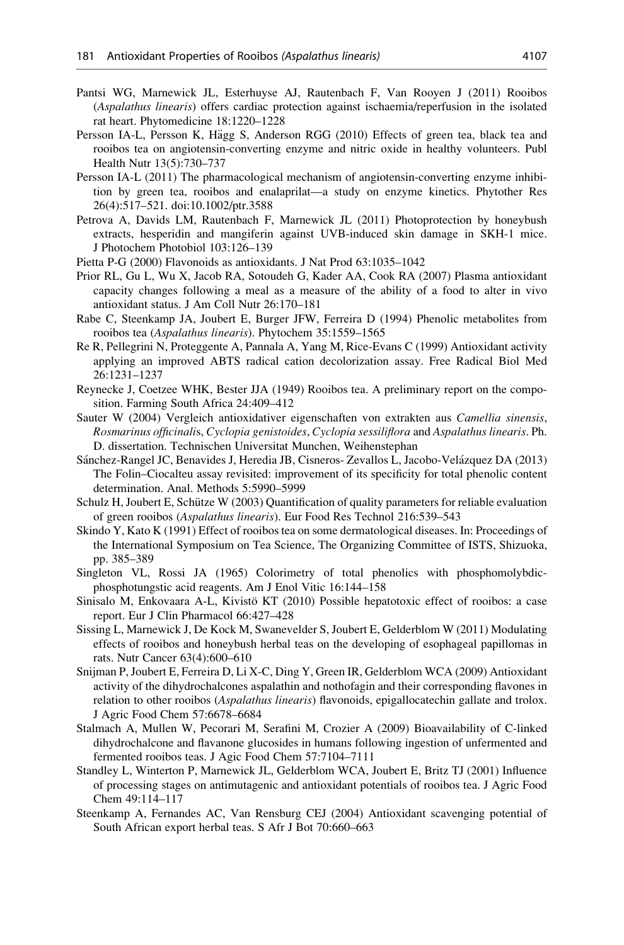- <span id="page-24-0"></span>Pantsi WG, Marnewick JL, Esterhuyse AJ, Rautenbach F, Van Rooyen J (2011) Rooibos (Aspalathus linearis) offers cardiac protection against ischaemia/reperfusion in the isolated rat heart. Phytomedicine 18:1220–1228
- Persson IA-L, Persson K, Hägg S, Anderson RGG (2010) Effects of green tea, black tea and rooibos tea on angiotensin-converting enzyme and nitric oxide in healthy volunteers. Publ Health Nutr 13(5):730–737
- Persson IA-L (2011) The pharmacological mechanism of angiotensin-converting enzyme inhibition by green tea, rooibos and enalaprilat—a study on enzyme kinetics. Phytother Res 26(4):517–521. doi:10.1002/ptr.3588
- Petrova A, Davids LM, Rautenbach F, Marnewick JL (2011) Photoprotection by honeybush extracts, hesperidin and mangiferin against UVB-induced skin damage in SKH-1 mice. J Photochem Photobiol 103:126–139
- Pietta P-G (2000) Flavonoids as antioxidants. J Nat Prod 63:1035–1042
- Prior RL, Gu L, Wu X, Jacob RA, Sotoudeh G, Kader AA, Cook RA (2007) Plasma antioxidant capacity changes following a meal as a measure of the ability of a food to alter in vivo antioxidant status. J Am Coll Nutr 26:170–181
- Rabe C, Steenkamp JA, Joubert E, Burger JFW, Ferreira D (1994) Phenolic metabolites from rooibos tea (Aspalathus linearis). Phytochem 35:1559–1565
- Re R, Pellegrini N, Proteggente A, Pannala A, Yang M, Rice-Evans C (1999) Antioxidant activity applying an improved ABTS radical cation decolorization assay. Free Radical Biol Med 26:1231–1237
- Reynecke J, Coetzee WHK, Bester JJA (1949) Rooibos tea. A preliminary report on the composition. Farming South Africa 24:409–412
- Sauter W (2004) Vergleich antioxidativer eigenschaften von extrakten aus Camellia sinensis, Rosmarinus officinalis, Cyclopia genistoides, Cyclopia sessiliflora and Aspalathus linearis. Ph. D. dissertation. Technischen Universitat Munchen, Weihenstephan
- Sánchez-Rangel JC, Benavides J, Heredia JB, Cisneros- Zevallos L, Jacobo-Velázquez DA (2013) The Folin–Ciocalteu assay revisited: improvement of its specificity for total phenolic content determination. Anal. Methods 5:5990–5999
- Schulz H, Joubert E, Schütze W (2003) Quantification of quality parameters for reliable evaluation of green rooibos (Aspalathus linearis). Eur Food Res Technol 216:539–543
- Skindo Y, Kato K (1991) Effect of rooibos tea on some dermatological diseases. In: Proceedings of the International Symposium on Tea Science, The Organizing Committee of ISTS, Shizuoka, pp. 385–389
- Singleton VL, Rossi JA (1965) Colorimetry of total phenolics with phosphomolybdicphosphotungstic acid reagents. Am J Enol Vitic 16:144–158
- Sinisalo M, Enkovaara A-L, Kivistö KT (2010) Possible hepatotoxic effect of rooibos: a case report. Eur J Clin Pharmacol 66:427–428
- Sissing L, Marnewick J, De Kock M, Swanevelder S, Joubert E, Gelderblom W (2011) Modulating effects of rooibos and honeybush herbal teas on the developing of esophageal papillomas in rats. Nutr Cancer 63(4):600–610
- Snijman P, Joubert E, Ferreira D, Li X-C, Ding Y, Green IR, Gelderblom WCA (2009) Antioxidant activity of the dihydrochalcones aspalathin and nothofagin and their corresponding flavones in relation to other rooibos (Aspalathus linearis) flavonoids, epigallocatechin gallate and trolox. J Agric Food Chem 57:6678–6684
- Stalmach A, Mullen W, Pecorari M, Serafini M, Crozier A (2009) Bioavailability of C-linked dihydrochalcone and flavanone glucosides in humans following ingestion of unfermented and fermented rooibos teas. J Agic Food Chem 57:7104–7111
- Standley L, Winterton P, Marnewick JL, Gelderblom WCA, Joubert E, Britz TJ (2001) Influence of processing stages on antimutagenic and antioxidant potentials of rooibos tea. J Agric Food Chem 49:114–117
- Steenkamp A, Fernandes AC, Van Rensburg CEJ (2004) Antioxidant scavenging potential of South African export herbal teas. S Afr J Bot 70:660–663